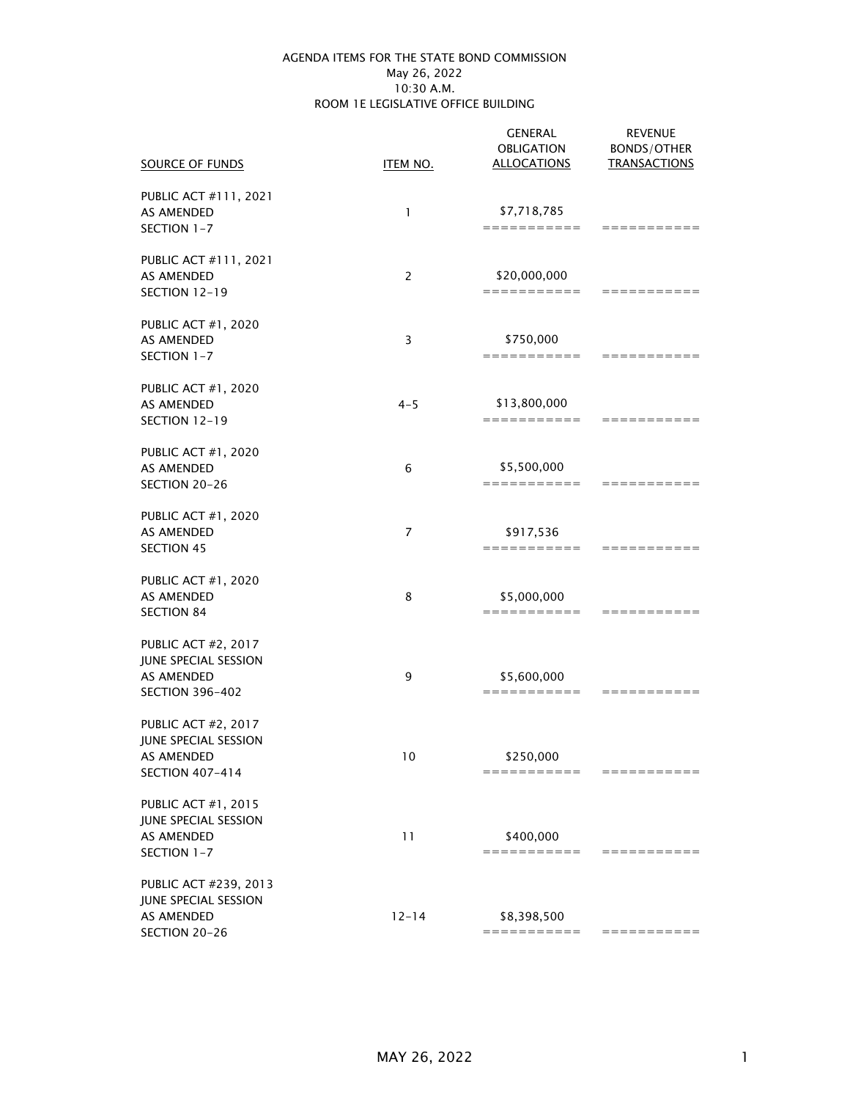#### May 26, 2022 AGENDA ITEMS FOR THE STATE BOND COMMISSION 10:30 A.M. ROOM 1E LEGISLATIVE OFFICE BUILDING

| SOURCE OF FUNDS                                                                                   | ITEM NO.  | <b>GENERAL</b><br><b>OBLIGATION</b><br><b>ALLOCATIONS</b> | <b>REVENUE</b><br><b>BONDS/OTHER</b><br><b>TRANSACTIONS</b> |
|---------------------------------------------------------------------------------------------------|-----------|-----------------------------------------------------------|-------------------------------------------------------------|
| PUBLIC ACT #111, 2021<br>AS AMENDED<br>SECTION 1-7                                                | 1         | \$7,718,785<br>===========                                | ===========                                                 |
| PUBLIC ACT #111, 2021<br>AS AMENDED<br>SECTION 12-19                                              | 2         | \$20,000,000<br>===========                               | ===========                                                 |
| <b>PUBLIC ACT #1, 2020</b><br>AS AMENDED<br>SECTION 1-7                                           | 3         | \$750,000<br>===========                                  | ===========                                                 |
| <b>PUBLIC ACT #1, 2020</b><br>AS AMENDED<br>SECTION 12-19                                         | $4 - 5$   | \$13,800,000<br>===========                               | ===========                                                 |
| <b>PUBLIC ACT #1, 2020</b><br>AS AMENDED<br>SECTION 20-26                                         | 6         | \$5,500,000<br>===========                                | ===========                                                 |
| <b>PUBLIC ACT #1, 2020</b><br><b>AS AMENDED</b><br><b>SECTION 45</b>                              | 7         | \$917,536<br>===========                                  | ===========                                                 |
| <b>PUBLIC ACT #1, 2020</b><br><b>AS AMENDED</b><br><b>SECTION 84</b>                              | 8         | \$5,000,000<br>===========                                | ===========                                                 |
| <b>PUBLIC ACT #2, 2017</b><br>JUNE SPECIAL SESSION<br><b>AS AMENDED</b><br><b>SECTION 396-402</b> | 9         | \$5,600,000<br>===========                                | ===========                                                 |
| <b>PUBLIC ACT #2, 2017</b><br>JUNE SPECIAL SESSION<br>AS AMENDED<br><b>SECTION 407-414</b>        | 10        | \$250,000<br>===========                                  | ==========                                                  |
| <b>PUBLIC ACT #1, 2015</b><br>JUNE SPECIAL SESSION<br>AS AMENDED<br>SECTION 1-7                   | 11        | \$400,000<br>===========                                  | ===========                                                 |
| PUBLIC ACT #239, 2013<br>JUNE SPECIAL SESSION<br><b>AS AMENDED</b><br>SECTION 20-26               | $12 - 14$ | \$8,398,500<br>===========                                | ===========                                                 |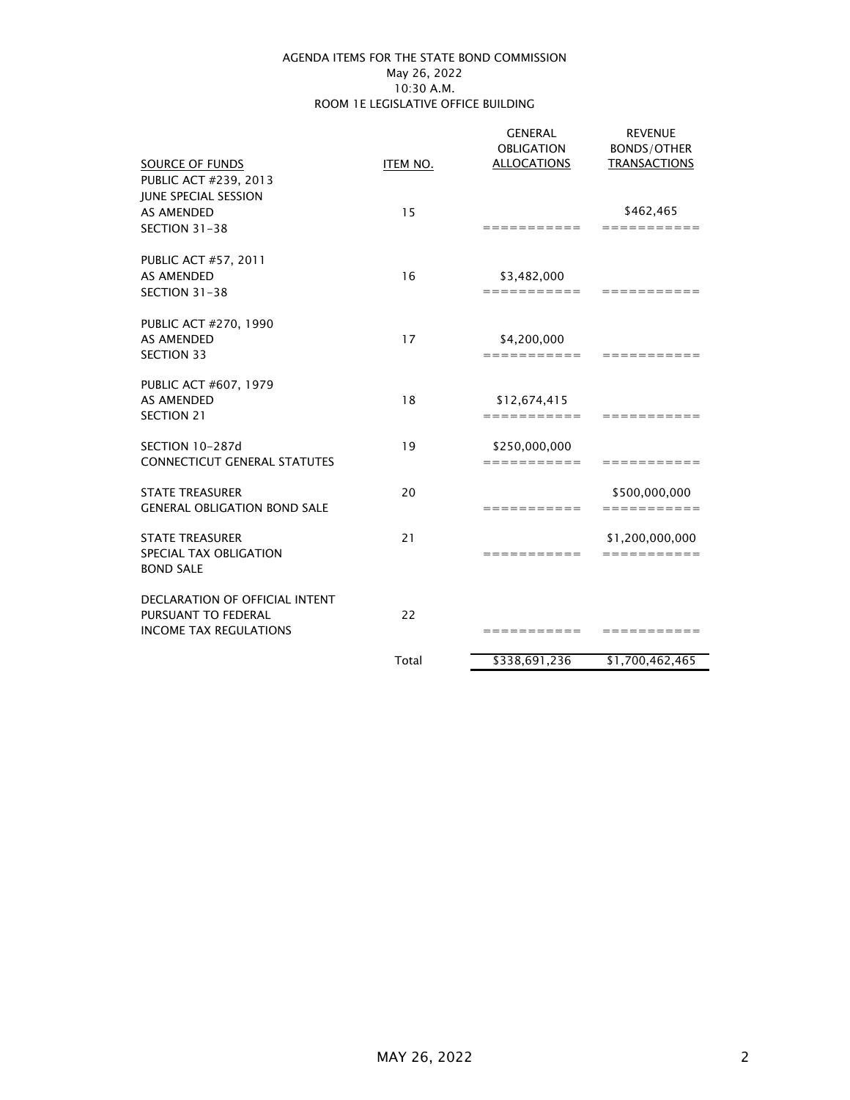#### May 26, 2022 AGENDA ITEMS FOR THE STATE BOND COMMISSION 10:30 A.M. ROOM 1E LEGISLATIVE OFFICE BUILDING

|                                       |          | <b>GENERAL</b><br><b>OBLIGATION</b> | <b>REVENUE</b><br><b>BONDS/OTHER</b> |
|---------------------------------------|----------|-------------------------------------|--------------------------------------|
| SOURCE OF FUNDS                       | ITEM NO. | <b>ALLOCATIONS</b>                  | <b>TRANSACTIONS</b>                  |
| PUBLIC ACT #239, 2013                 |          |                                     |                                      |
| <b>JUNE SPECIAL SESSION</b>           |          |                                     |                                      |
| AS AMENDED                            | 15       |                                     | \$462,465                            |
| SECTION 31-38                         |          | $=$ = = = = = = = = = =             | ===========                          |
| PUBLIC ACT #57, 2011                  |          |                                     |                                      |
| <b>AS AMENDED</b>                     | 16       | \$3,482,000                         |                                      |
| SECTION 31-38                         |          | ===========                         | ===========                          |
| PUBLIC ACT #270, 1990                 |          |                                     |                                      |
| <b>AS AMENDED</b>                     | 17       | \$4,200,000                         |                                      |
| <b>SECTION 33</b>                     |          | ===========                         | ===========                          |
| PUBLIC ACT #607, 1979                 |          |                                     |                                      |
| <b>AS AMENDED</b>                     | 18       | \$12,674,415                        |                                      |
| <b>SECTION 21</b>                     |          | ===========                         | ==========                           |
| SECTION 10-287d                       | 19       | \$250,000,000                       |                                      |
| <b>CONNECTICUT GENERAL STATUTES</b>   |          | ===========                         | ===========                          |
| <b>STATE TREASURER</b>                | 20       |                                     | \$500,000,000                        |
| <b>GENERAL OBLIGATION BOND SALE</b>   |          | ===========                         | ===========                          |
| <b>STATE TREASURER</b>                | 21       |                                     | \$1,200,000,000                      |
| SPECIAL TAX OBLIGATION                |          | ===========                         | ===========                          |
| <b>BOND SALE</b>                      |          |                                     |                                      |
| <b>DECLARATION OF OFFICIAL INTENT</b> |          |                                     |                                      |
| PURSUANT TO FEDERAL                   | 22       |                                     |                                      |
| <b>INCOME TAX REGULATIONS</b>         |          | ===========                         | ===========                          |
|                                       | Total    | \$338,691,236                       | \$1,700,462,465                      |
|                                       |          |                                     |                                      |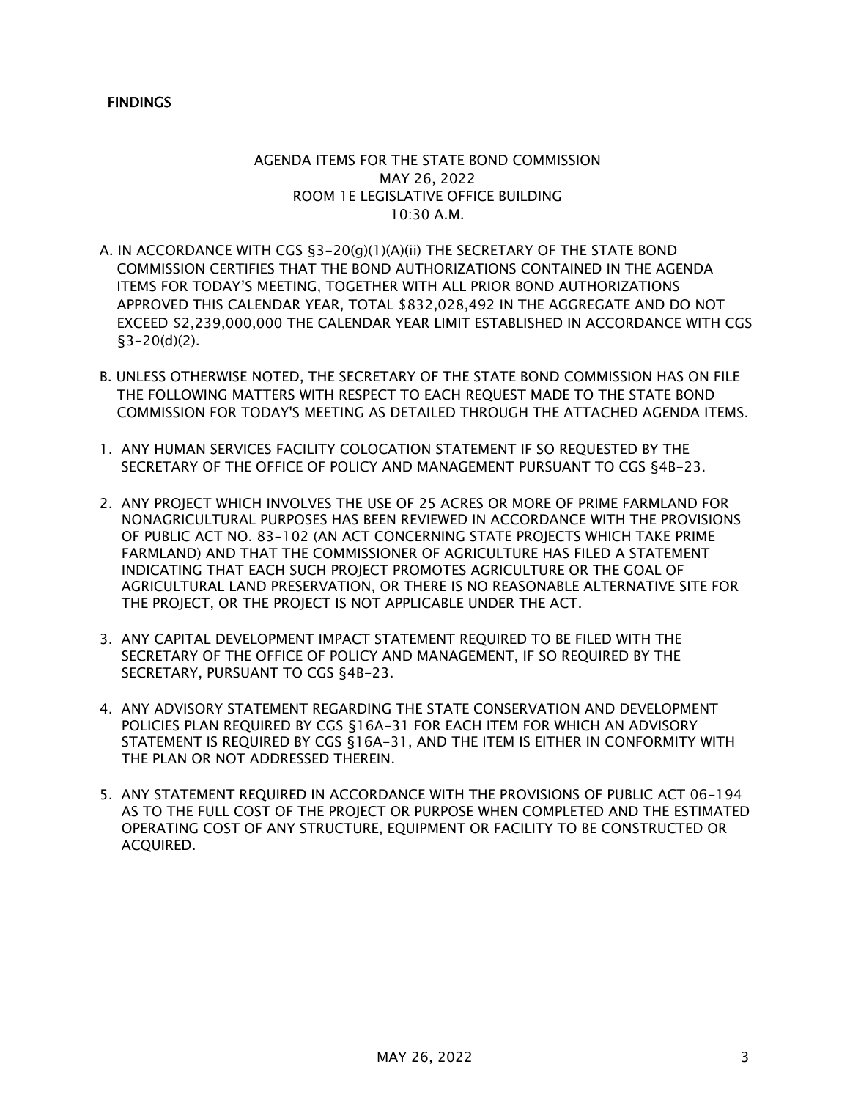# **FINDINGS**

# AGENDA ITEMS FOR THE STATE BOND COMMISSION MAY 26, 2022 ROOM 1E LEGISLATIVE OFFICE BUILDING 10:30 A.M.

- A. IN ACCORDANCE WITH CGS §3-20(g)(1)(A)(ii) THE SECRETARY OF THE STATE BOND COMMISSION CERTIFIES THAT THE BOND AUTHORIZATIONS CONTAINED IN THE AGENDA ITEMS FOR TODAY'S MEETING, TOGETHER WITH ALL PRIOR BOND AUTHORIZATIONS APPROVED THIS CALENDAR YEAR, TOTAL \$832,028,492 IN THE AGGREGATE AND DO NOT EXCEED \$2,239,000,000 THE CALENDAR YEAR LIMIT ESTABLISHED IN ACCORDANCE WITH CGS  $$3-20(d)(2)$ .
- B. UNLESS OTHERWISE NOTED, THE SECRETARY OF THE STATE BOND COMMISSION HAS ON FILE THE FOLLOWING MATTERS WITH RESPECT TO EACH REQUEST MADE TO THE STATE BOND COMMISSION FOR TODAY'S MEETING AS DETAILED THROUGH THE ATTACHED AGENDA ITEMS.
- 1. ANY HUMAN SERVICES FACILITY COLOCATION STATEMENT IF SO REQUESTED BY THE SECRETARY OF THE OFFICE OF POLICY AND MANAGEMENT PURSUANT TO CGS §4B-23.
- 2. ANY PROJECT WHICH INVOLVES THE USE OF 25 ACRES OR MORE OF PRIME FARMLAND FOR NONAGRICULTURAL PURPOSES HAS BEEN REVIEWED IN ACCORDANCE WITH THE PROVISIONS OF PUBLIC ACT NO. 83-102 (AN ACT CONCERNING STATE PROJECTS WHICH TAKE PRIME FARMLAND) AND THAT THE COMMISSIONER OF AGRICULTURE HAS FILED A STATEMENT INDICATING THAT EACH SUCH PROJECT PROMOTES AGRICULTURE OR THE GOAL OF AGRICULTURAL LAND PRESERVATION, OR THERE IS NO REASONABLE ALTERNATIVE SITE FOR THE PROJECT, OR THE PROJECT IS NOT APPLICABLE UNDER THE ACT.
- 3. ANY CAPITAL DEVELOPMENT IMPACT STATEMENT REQUIRED TO BE FILED WITH THE SECRETARY OF THE OFFICE OF POLICY AND MANAGEMENT, IF SO REQUIRED BY THE SECRETARY, PURSUANT TO CGS §4B-23.
- 4. ANY ADVISORY STATEMENT REGARDING THE STATE CONSERVATION AND DEVELOPMENT POLICIES PLAN REQUIRED BY CGS §16A-31 FOR EACH ITEM FOR WHICH AN ADVISORY STATEMENT IS REQUIRED BY CGS §16A-31, AND THE ITEM IS EITHER IN CONFORMITY WITH THE PLAN OR NOT ADDRESSED THEREIN.
- 5. ANY STATEMENT REQUIRED IN ACCORDANCE WITH THE PROVISIONS OF PUBLIC ACT 06-194 AS TO THE FULL COST OF THE PROJECT OR PURPOSE WHEN COMPLETED AND THE ESTIMATED OPERATING COST OF ANY STRUCTURE, EQUIPMENT OR FACILITY TO BE CONSTRUCTED OR ACQUIRED.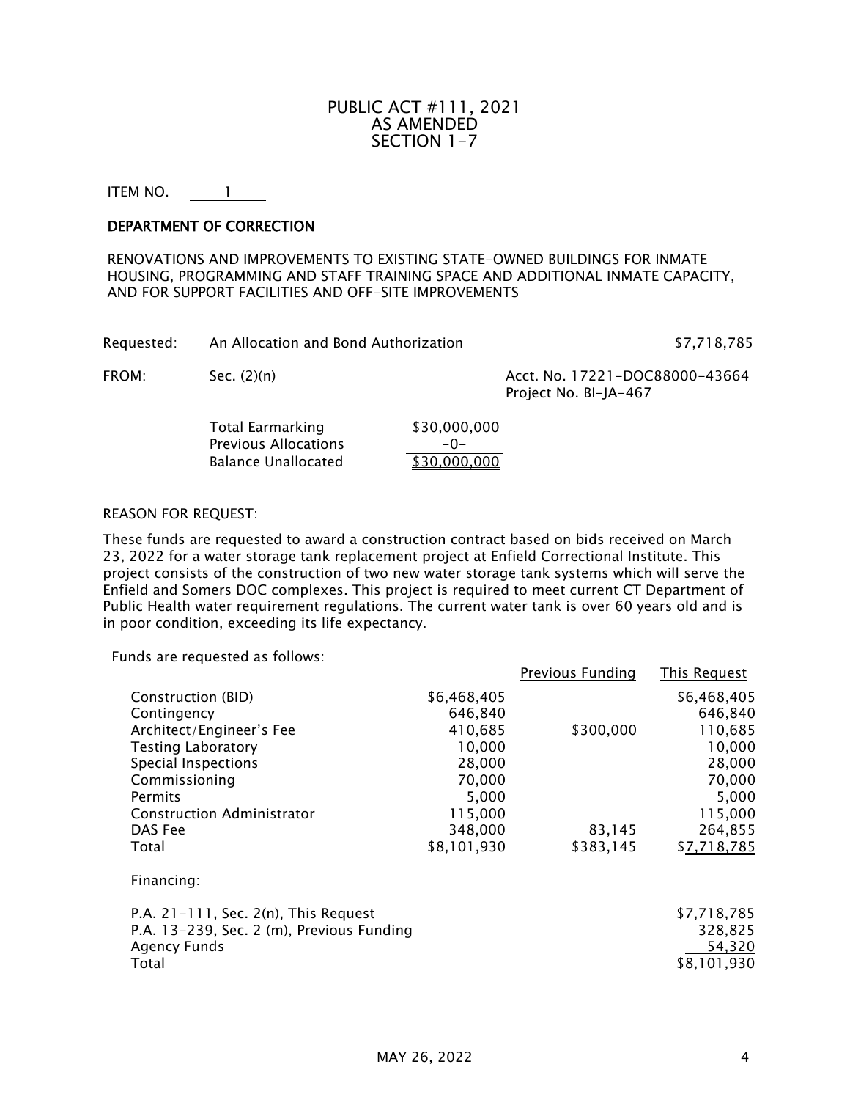# PUBLIC ACT #111, 2021 AS AMENDED SECTION 1-7

ITEM NO. 1

## DEPARTMENT OF CORRECTION

RENOVATIONS AND IMPROVEMENTS TO EXISTING STATE-OWNED BUILDINGS FOR INMATE HOUSING, PROGRAMMING AND STAFF TRAINING SPACE AND ADDITIONAL INMATE CAPACITY, AND FOR SUPPORT FACILITIES AND OFF-SITE IMPROVEMENTS

| Requested: | An Allocation and Bond Authorization                                                 |                                       | \$7,718,785                                             |
|------------|--------------------------------------------------------------------------------------|---------------------------------------|---------------------------------------------------------|
| FROM:      | Sec. $(2)(n)$                                                                        |                                       | Acct. No. 17221-DOC88000-43664<br>Project No. BI-JA-467 |
|            | <b>Total Earmarking</b><br><b>Previous Allocations</b><br><b>Balance Unallocated</b> | \$30,000,000<br>$-0-$<br>\$30,000,000 |                                                         |

#### REASON FOR REQUEST:

These funds are requested to award a construction contract based on bids received on March 23, 2022 for a water storage tank replacement project at Enfield Correctional Institute. This project consists of the construction of two new water storage tank systems which will serve the Enfield and Somers DOC complexes. This project is required to meet current CT Department of Public Health water requirement regulations. The current water tank is over 60 years old and is in poor condition, exceeding its life expectancy.

Funds are requested as follows:

|                                                                                                                                                                                               |                                                                                                | <b>Previous Funding</b> | <b>This Request</b>                                                                            |
|-----------------------------------------------------------------------------------------------------------------------------------------------------------------------------------------------|------------------------------------------------------------------------------------------------|-------------------------|------------------------------------------------------------------------------------------------|
| Construction (BID)<br>Contingency<br>Architect/Engineer's Fee<br><b>Testing Laboratory</b><br>Special Inspections<br>Commissioning<br>Permits<br><b>Construction Administrator</b><br>DAS Fee | \$6,468,405<br>646,840<br>410,685<br>10,000<br>28,000<br>70,000<br>5,000<br>115,000<br>348,000 | \$300,000<br>83,145     | \$6,468,405<br>646,840<br>110,685<br>10,000<br>28,000<br>70,000<br>5,000<br>115,000<br>264,855 |
| Total<br>Financing:                                                                                                                                                                           | \$8,101,930                                                                                    | \$383,145               | \$7,718,785                                                                                    |
| P.A. $21-111$ , Sec. $2(n)$ , This Request<br>P.A. 13-239, Sec. 2 (m), Previous Funding<br><b>Agency Funds</b><br>Total                                                                       |                                                                                                |                         | \$7,718,785<br>328,825<br>54,320<br>\$8,101,930                                                |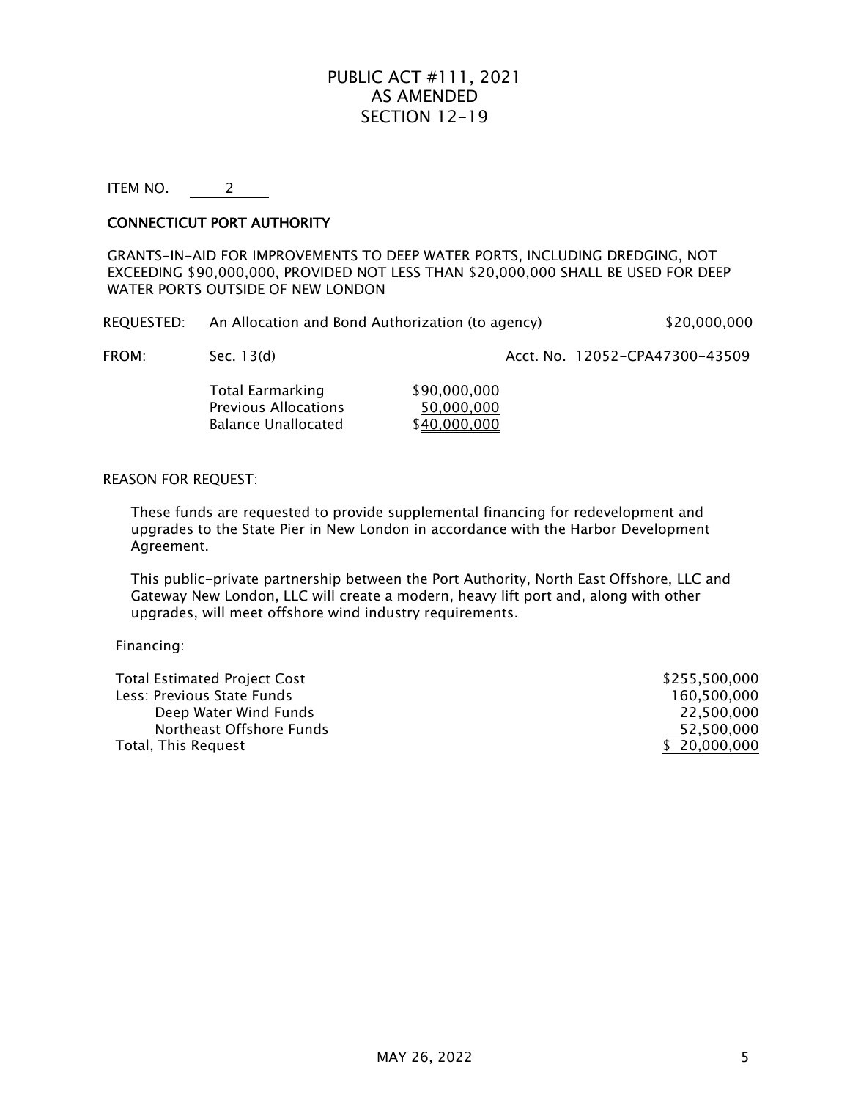# PUBLIC ACT #111, 2021 AS AMENDED SECTION 12-19

ITEM NO. 2

## CONNECTICUT PORT AUTHORITY

GRANTS-IN-AID FOR IMPROVEMENTS TO DEEP WATER PORTS, INCLUDING DREDGING, NOT EXCEEDING \$90,000,000, PROVIDED NOT LESS THAN \$20,000,000 SHALL BE USED FOR DEEP WATER PORTS OUTSIDE OF NEW LONDON

| <b>REQUESTED:</b> | An Allocation and Bond Authorization (to agency) | \$20,000,000 |
|-------------------|--------------------------------------------------|--------------|
|                   |                                                  |              |

FROM: Sec. 13(d) Sec. 13(d) Sec. 13(d) Acct. No. 12052-CPA47300-43509

Total Earmarking \$90,000,000<br>Previous Allocations \$50,000,000 Previous Allocations<br>Balance Unallocated \$40,000,000 Balance Unallocated

#### REASON FOR REQUEST:

These funds are requested to provide supplemental financing for redevelopment and upgrades to the State Pier in New London in accordance with the Harbor Development Agreement.

This public-private partnership between the Port Authority, North East Offshore, LLC and Gateway New London, LLC will create a modern, heavy lift port and, along with other upgrades, will meet offshore wind industry requirements.

Financing:

| <b>Total Estimated Project Cost</b> | \$255.500.000 |
|-------------------------------------|---------------|
| Less: Previous State Funds          | 160.500.000   |
| Deep Water Wind Funds               | 22.500.000    |
| Northeast Offshore Funds            | 52.500.000    |
| Total, This Request                 | \$ 20,000,000 |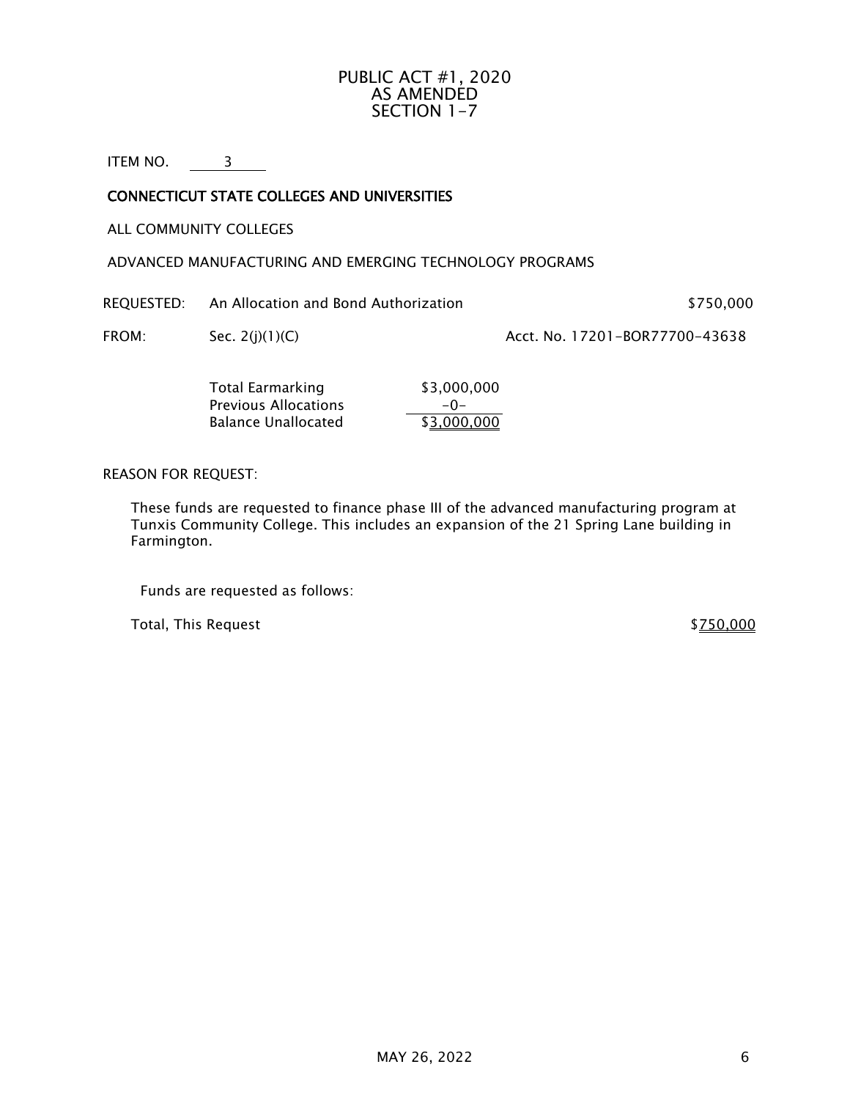## PUBLIC ACT #1, 2020 AS AMENDED SECTION 1-7

ITEM NO. 3

# CONNECTICUT STATE COLLEGES AND UNIVERSITIES

ALL COMMUNITY COLLEGES

ADVANCED MANUFACTURING AND EMERGING TECHNOLOGY PROGRAMS

REQUESTED: An Allocation and Bond Authorization **\$750,000** \$750,000

FROM: Sec. 2(j)(1)(C) Acct. No. 17201-BOR77700-43638

Total Earmarking \$3,000,000 Previous Allocations  $\frac{-0-}{\sqrt{33.000.000}}$ Balance Unallocated

REASON FOR REQUEST:

These funds are requested to finance phase III of the advanced manufacturing program at Tunxis Community College. This includes an expansion of the 21 Spring Lane building in Farmington.

Funds are requested as follows:

Total, This Request  $$750,000$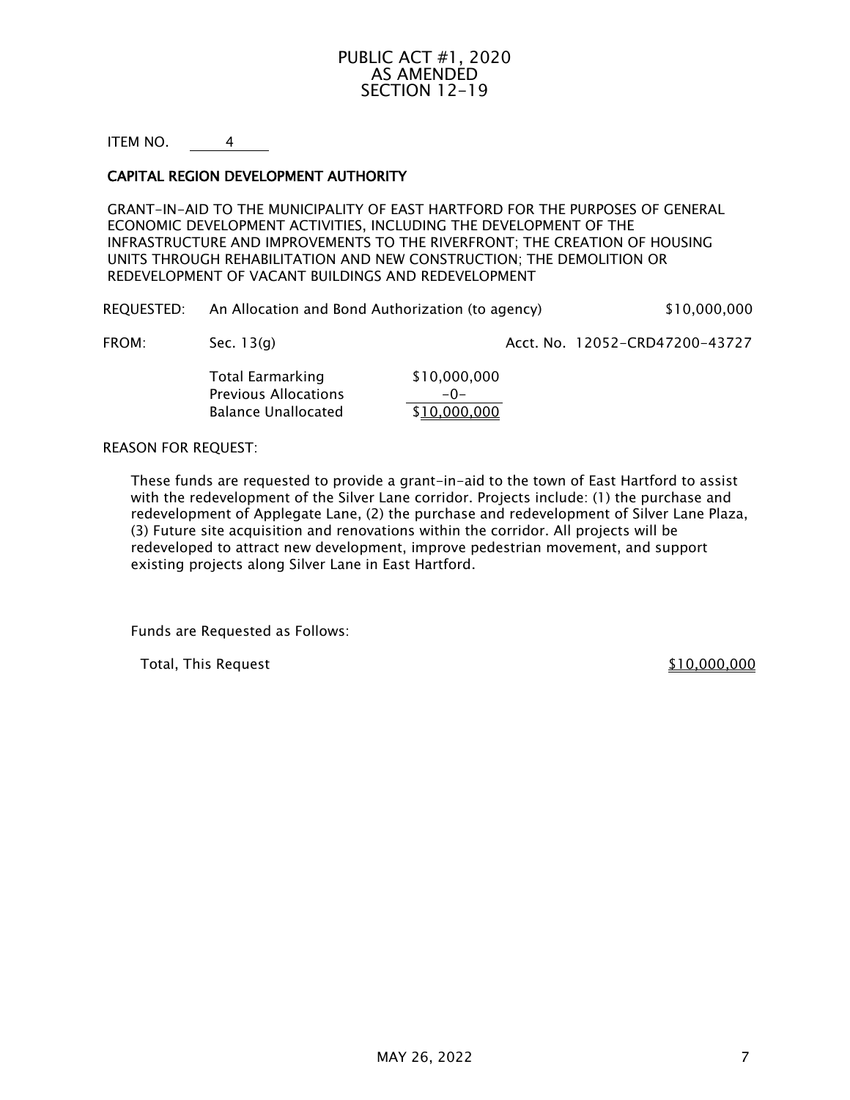# PUBLIC ACT #1, 2020 AS AMENDED SECTION 12-19

ITEM NO. 4

## CAPITAL REGION DEVELOPMENT AUTHORITY

GRANT-IN-AID TO THE MUNICIPALITY OF EAST HARTFORD FOR THE PURPOSES OF GENERAL ECONOMIC DEVELOPMENT ACTIVITIES, INCLUDING THE DEVELOPMENT OF THE INFRASTRUCTURE AND IMPROVEMENTS TO THE RIVERFRONT; THE CREATION OF HOUSING UNITS THROUGH REHABILITATION AND NEW CONSTRUCTION; THE DEMOLITION OR REDEVELOPMENT OF VACANT BUILDINGS AND REDEVELOPMENT

| <b>REQUESTED:</b> | An Allocation and Bond Authorization (to agency) | \$10,000,000 |
|-------------------|--------------------------------------------------|--------------|
|-------------------|--------------------------------------------------|--------------|

FROM: Sec. 13(g) Sec. 13(g) Acct. No. 12052-CRD47200-43727

Total Earmarking \$10,000,000 Previous Allocations  $\frac{-0-}{10,000,000}$ Balance Unallocated

#### REASON FOR REQUEST:

These funds are requested to provide a grant-in-aid to the town of East Hartford to assist with the redevelopment of the Silver Lane corridor. Projects include: (1) the purchase and redevelopment of Applegate Lane, (2) the purchase and redevelopment of Silver Lane Plaza, (3) Future site acquisition and renovations within the corridor. All projects will be redeveloped to attract new development, improve pedestrian movement, and support existing projects along Silver Lane in East Hartford.

Funds are Requested as Follows:

Total, This Request  $$10,000,000$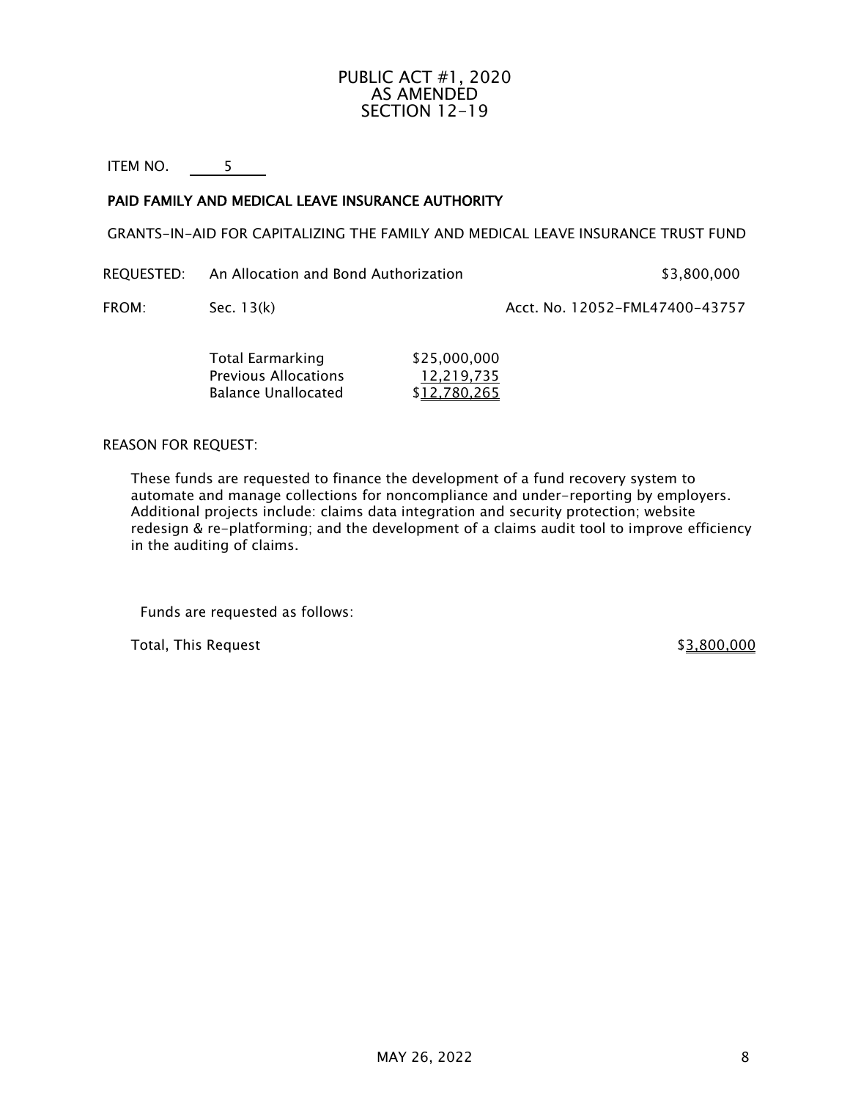# PUBLIC ACT #1, 2020 AS AMENDED SECTION 12-19

ITEM NO. 5

# PAID FAMILY AND MEDICAL LEAVE INSURANCE AUTHORITY

GRANTS-IN-AID FOR CAPITALIZING THE FAMILY AND MEDICAL LEAVE INSURANCE TRUST FUND

REQUESTED: An Allocation and Bond Authorization  $$3,800,000$ 

FROM: Sec. 13(k) Acct. No. 12052-FML47400-43757

| Total Earmarking     | \$25,000,000 |
|----------------------|--------------|
| Previous Allocations | 12.219.735   |
| Balance Unallocated  | \$12,780,265 |

## REASON FOR REQUEST:

These funds are requested to finance the development of a fund recovery system to automate and manage collections for noncompliance and under-reporting by employers. Additional projects include: claims data integration and security protection; website redesign & re-platforming; and the development of a claims audit tool to improve efficiency in the auditing of claims.

Funds are requested as follows:

Total, This Request  $$3,800,000$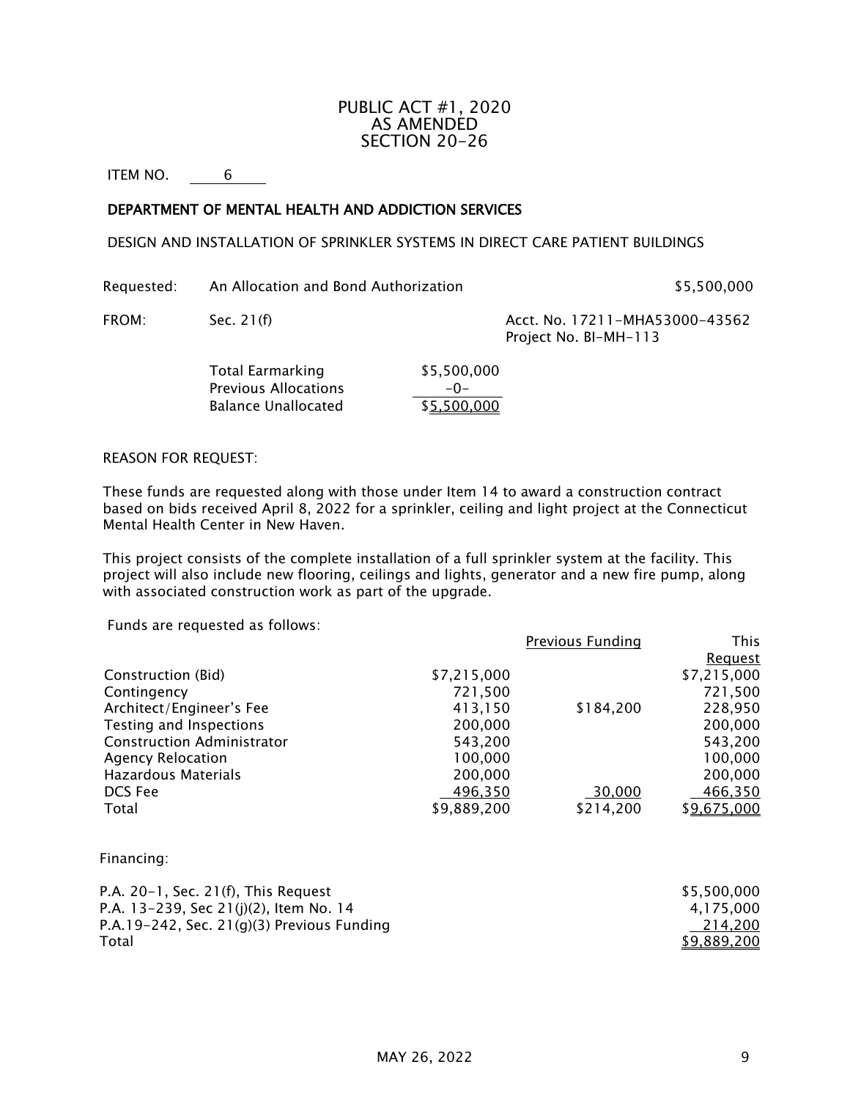# PUBLIC ACT #1, 2020 AS AMENDED SECTION 20-26

ITEM NO. 6

## DEPARTMENT OF MENTAL HEALTH AND ADDICTION SERVICES

#### DESIGN AND INSTALLATION OF SPRINKLER SYSTEMS IN DIRECT CARE PATIENT BUILDINGS

Requested: An Allocation and Bond Authorization **\$5,500,000** \$5,500,000

FROM: Sec. 21(f) Sec. 21(f) Sec. 21(f) Acct. No. 17211-MHA53000-43562 Project No. BI-MH-113

> Total Earmarking \$5,500,000 Previous Allocations  $\frac{-0-}{\$5,500,000}$ Balance Unallocated

#### REASON FOR REQUEST:

These funds are requested along with those under Item 14 to award a construction contract based on bids received April 8, 2022 for a sprinkler, ceiling and light project at the Connecticut Mental Health Center in New Haven.

This project consists of the complete installation of a full sprinkler system at the facility. This project will also include new flooring, ceilings and lights, generator and a new fire pump, along with associated construction work as part of the upgrade.

Funds are requested as follows:

|                                   |             | Previous Funding | This           |
|-----------------------------------|-------------|------------------|----------------|
|                                   |             |                  | <u>Request</u> |
| Construction (Bid)                | \$7,215,000 |                  | \$7,215,000    |
| Contingency                       | 721,500     |                  | 721,500        |
| Architect/Engineer's Fee          | 413,150     | \$184,200        | 228,950        |
| Testing and Inspections           | 200,000     |                  | 200,000        |
| <b>Construction Administrator</b> | 543,200     |                  | 543,200        |
| <b>Agency Relocation</b>          | 100,000     |                  | 100,000        |
| Hazardous Materials               | 200,000     |                  | 200,000        |
| DCS Fee                           | 496,350     | 30,000           | 466,350        |
| Total                             | \$9,889,200 | \$214,200        | \$9,675,000    |
|                                   |             |                  |                |
|                                   |             |                  |                |

Financing:

| P.A. 20–1, Sec. 21(f), This Request           | \$5,500,000        |
|-----------------------------------------------|--------------------|
| P.A. 13–239, Sec 21(j)(2), Item No. 14        | 4,175,000          |
| P.A.19-242, Sec. 21 $(g)(3)$ Previous Funding | 214.200            |
| Total                                         | <u>\$9,889,200</u> |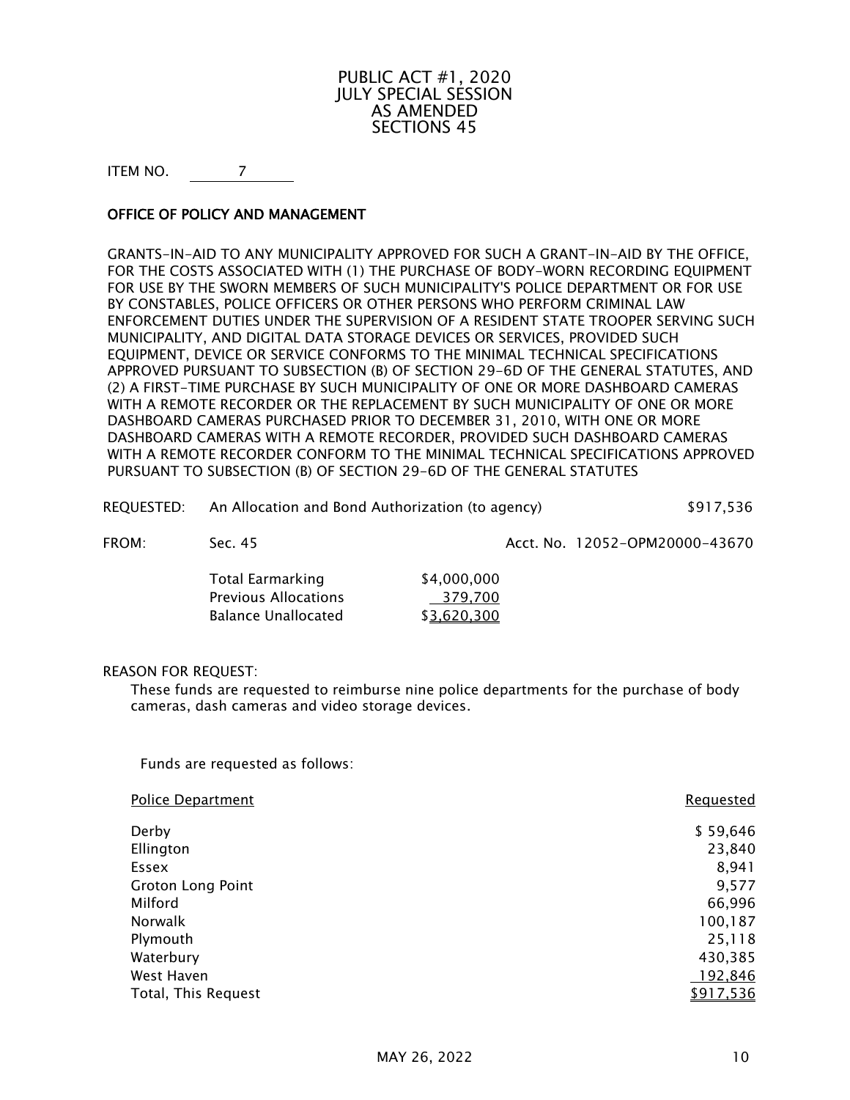# PUBLIC ACT #1, 2020 JULY SPECIAL SESSION AS AMENDED SECTIONS 45

ITEM NO. 7

# OFFICE OF POLICY AND MANAGEMENT

GRANTS-IN-AID TO ANY MUNICIPALITY APPROVED FOR SUCH A GRANT-IN-AID BY THE OFFICE, FOR THE COSTS ASSOCIATED WITH (1) THE PURCHASE OF BODY-WORN RECORDING EQUIPMENT FOR USE BY THE SWORN MEMBERS OF SUCH MUNICIPALITY'S POLICE DEPARTMENT OR FOR USE BY CONSTABLES, POLICE OFFICERS OR OTHER PERSONS WHO PERFORM CRIMINAL LAW ENFORCEMENT DUTIES UNDER THE SUPERVISION OF A RESIDENT STATE TROOPER SERVING SUCH MUNICIPALITY, AND DIGITAL DATA STORAGE DEVICES OR SERVICES, PROVIDED SUCH EQUIPMENT, DEVICE OR SERVICE CONFORMS TO THE MINIMAL TECHNICAL SPECIFICATIONS APPROVED PURSUANT TO SUBSECTION (B) OF SECTION 29-6D OF THE GENERAL STATUTES, AND (2) A FIRST-TIME PURCHASE BY SUCH MUNICIPALITY OF ONE OR MORE DASHBOARD CAMERAS WITH A REMOTE RECORDER OR THE REPLACEMENT BY SUCH MUNICIPALITY OF ONE OR MORE DASHBOARD CAMERAS PURCHASED PRIOR TO DECEMBER 31, 2010, WITH ONE OR MORE DASHBOARD CAMERAS WITH A REMOTE RECORDER, PROVIDED SUCH DASHBOARD CAMERAS WITH A REMOTE RECORDER CONFORM TO THE MINIMAL TECHNICAL SPECIFICATIONS APPROVED PURSUANT TO SUBSECTION (B) OF SECTION 29-6D OF THE GENERAL STATUTES

| REQUESTED: | An Allocation and Bond Authorization (to agency) | \$917,536 |
|------------|--------------------------------------------------|-----------|

FROM: Sec. 45 Acct. No. 12052-OPM20000-43670

| Total Earmarking     | \$4,000,000 |
|----------------------|-------------|
| Previous Allocations | 379.700     |
| Balance Unallocated  | \$3,620,300 |

#### REASON FOR REQUEST:

These funds are requested to reimburse nine police departments for the purchase of body cameras, dash cameras and video storage devices.

Funds are requested as follows:

| <b>Police Department</b> | <b>Requested</b> |
|--------------------------|------------------|
| Derby                    | \$59,646         |
| Ellington                | 23,840           |
| Essex                    | 8,941            |
| <b>Groton Long Point</b> | 9,577            |
| Milford                  | 66,996           |
| Norwalk                  | 100,187          |
| Plymouth                 | 25,118           |
| Waterbury                | 430,385          |
| West Haven               | 192,846          |
| Total, This Request      | \$917,536        |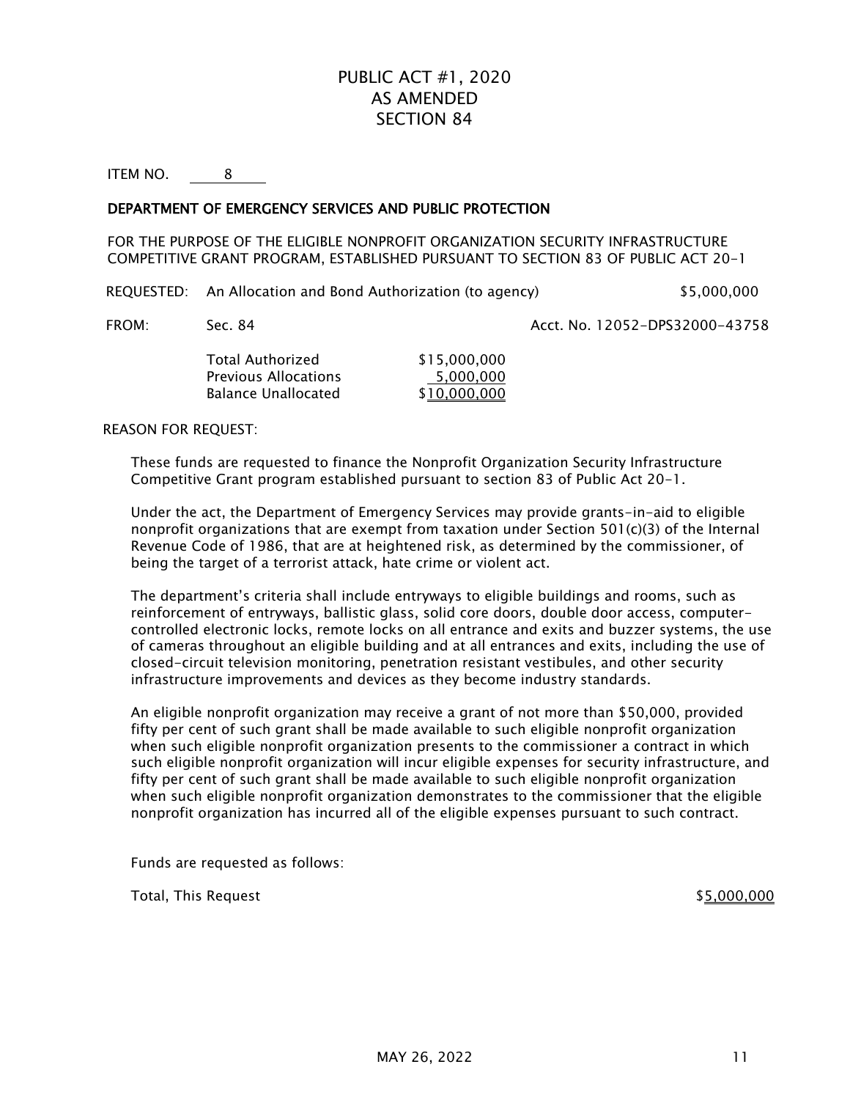# PUBLIC ACT #1, 2020 AS AMENDED SECTION 84

ITEM NO. 8

## DEPARTMENT OF EMERGENCY SERVICES AND PUBLIC PROTECTION

FOR THE PURPOSE OF THE ELIGIBLE NONPROFIT ORGANIZATION SECURITY INFRASTRUCTURE COMPETITIVE GRANT PROGRAM, ESTABLISHED PURSUANT TO SECTION 83 OF PUBLIC ACT 20-1

REQUESTED: An Allocation and Bond Authorization (to agency) \$5,000,000

FROM: Sec. 84 Acct. No. 12052-DPS32000-43758

Total Authorized \$15,000,000 Previous Allocations<br>
Balance Unallocated<br>
\$10,000,000 Balance Unallocated

REASON FOR REQUEST:

These funds are requested to finance the Nonprofit Organization Security Infrastructure Competitive Grant program established pursuant to section 83 of Public Act 20-1.

Under the act, the Department of Emergency Services may provide grants-in-aid to eligible nonprofit organizations that are exempt from taxation under Section 501(c)(3) of the Internal Revenue Code of 1986, that are at heightened risk, as determined by the commissioner, of being the target of a terrorist attack, hate crime or violent act.

The department's criteria shall include entryways to eligible buildings and rooms, such as reinforcement of entryways, ballistic glass, solid core doors, double door access, computercontrolled electronic locks, remote locks on all entrance and exits and buzzer systems, the use of cameras throughout an eligible building and at all entrances and exits, including the use of closed-circuit television monitoring, penetration resistant vestibules, and other security infrastructure improvements and devices as they become industry standards.

An eligible nonprofit organization may receive a grant of not more than \$50,000, provided fifty per cent of such grant shall be made available to such eligible nonprofit organization when such eligible nonprofit organization presents to the commissioner a contract in which such eligible nonprofit organization will incur eligible expenses for security infrastructure, and fifty per cent of such grant shall be made available to such eligible nonprofit organization when such eligible nonprofit organization demonstrates to the commissioner that the eligible nonprofit organization has incurred all of the eligible expenses pursuant to such contract.

Funds are requested as follows:

Total, This Request  $$5,000,000$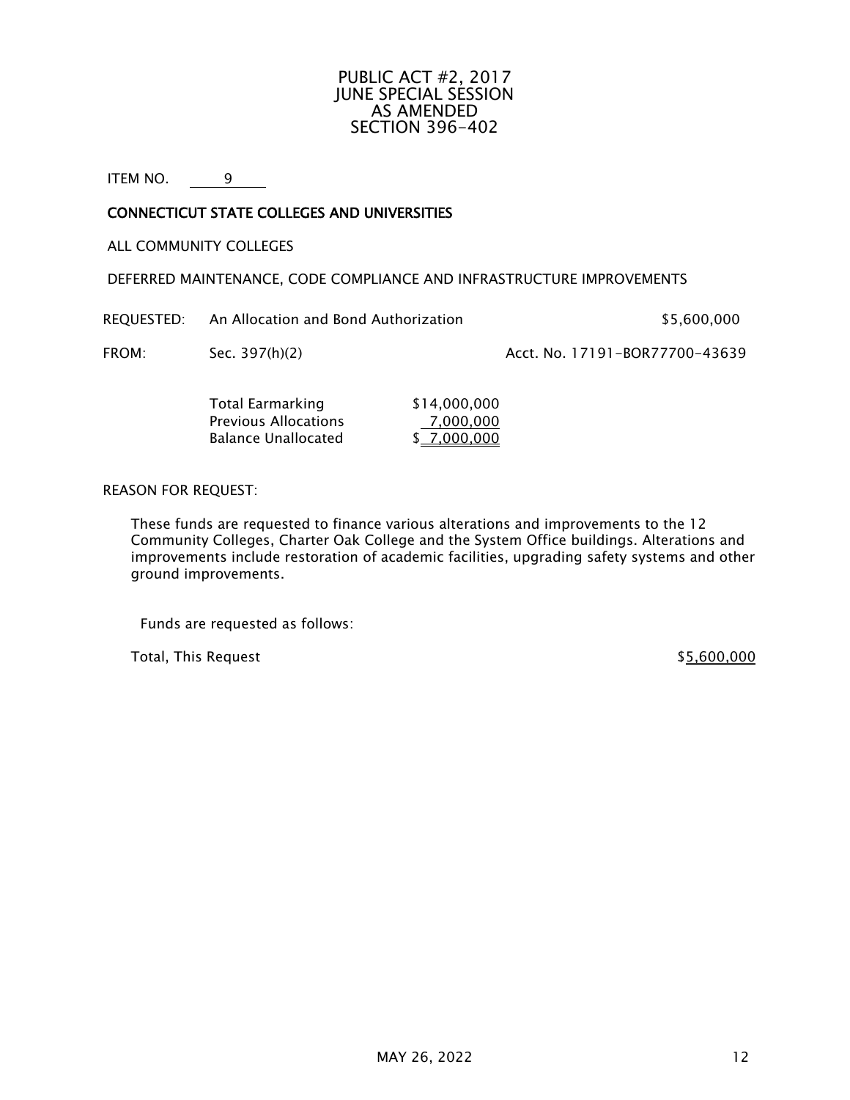## PUBLIC ACT #2, 2017 JUNE SPECIAL SESSION AS AMENDED SECTION 396-402

ITEM NO. 9

## CONNECTICUT STATE COLLEGES AND UNIVERSITIES

ALL COMMUNITY COLLEGES

DEFERRED MAINTENANCE, CODE COMPLIANCE AND INFRASTRUCTURE IMPROVEMENTS

REQUESTED: An Allocation and Bond Authorization  $$5,600,000$ 

FROM: Sec. 397(h)(2) Acct. No. 17191-BOR77700-43639

| <b>Total Earmarking</b>     | \$14,000,000 |
|-----------------------------|--------------|
| <b>Previous Allocations</b> | 7,000,000    |
| <b>Balance Unallocated</b>  | \$7,000,000  |

REASON FOR REQUEST:

These funds are requested to finance various alterations and improvements to the 12 Community Colleges, Charter Oak College and the System Office buildings. Alterations and improvements include restoration of academic facilities, upgrading safety systems and other ground improvements.

Funds are requested as follows:

Total, This Request  $$5,600,000$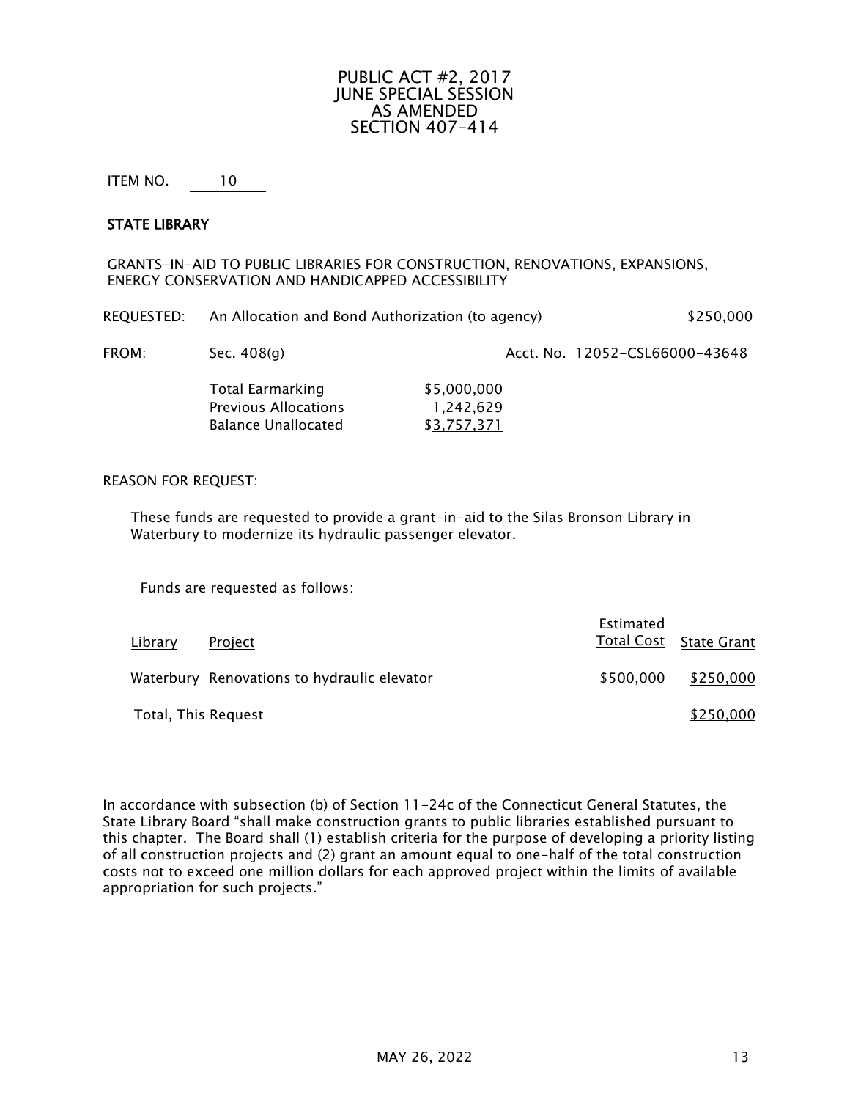## PUBLIC ACT #2, 2017 JUNE SPECIAL SESSION AS AMENDED SECTION 407-414

ITEM NO. 10

#### STATE LIBRARY

GRANTS-IN-AID TO PUBLIC LIBRARIES FOR CONSTRUCTION, RENOVATIONS, EXPANSIONS, ENERGY CONSERVATION AND HANDICAPPED ACCESSIBILITY

| REQUESTED: | An Allocation and Bond Authorization (to agency) | \$250,000 |
|------------|--------------------------------------------------|-----------|
|            |                                                  |           |

FROM: Sec. 408(g) Sec. and Sec. 3648 Acct. No. 12052-CSL66000-43648

| \$5,000,000 |
|-------------|
| 1,242,629   |
| \$3,757,371 |
|             |

#### REASON FOR REQUEST:

These funds are requested to provide a grant-in-aid to the Silas Bronson Library in Waterbury to modernize its hydraulic passenger elevator.

Funds are requested as follows:

| Library             | Project                                     | Estimated | Total Cost State Grant |
|---------------------|---------------------------------------------|-----------|------------------------|
|                     | Waterbury Renovations to hydraulic elevator | \$500,000 | \$250,000              |
| Total, This Request |                                             |           | \$250,000              |

In accordance with subsection (b) of Section 11-24c of the Connecticut General Statutes, the State Library Board "shall make construction grants to public libraries established pursuant to this chapter. The Board shall (1) establish criteria for the purpose of developing a priority listing of all construction projects and (2) grant an amount equal to one-half of the total construction costs not to exceed one million dollars for each approved project within the limits of available appropriation for such projects."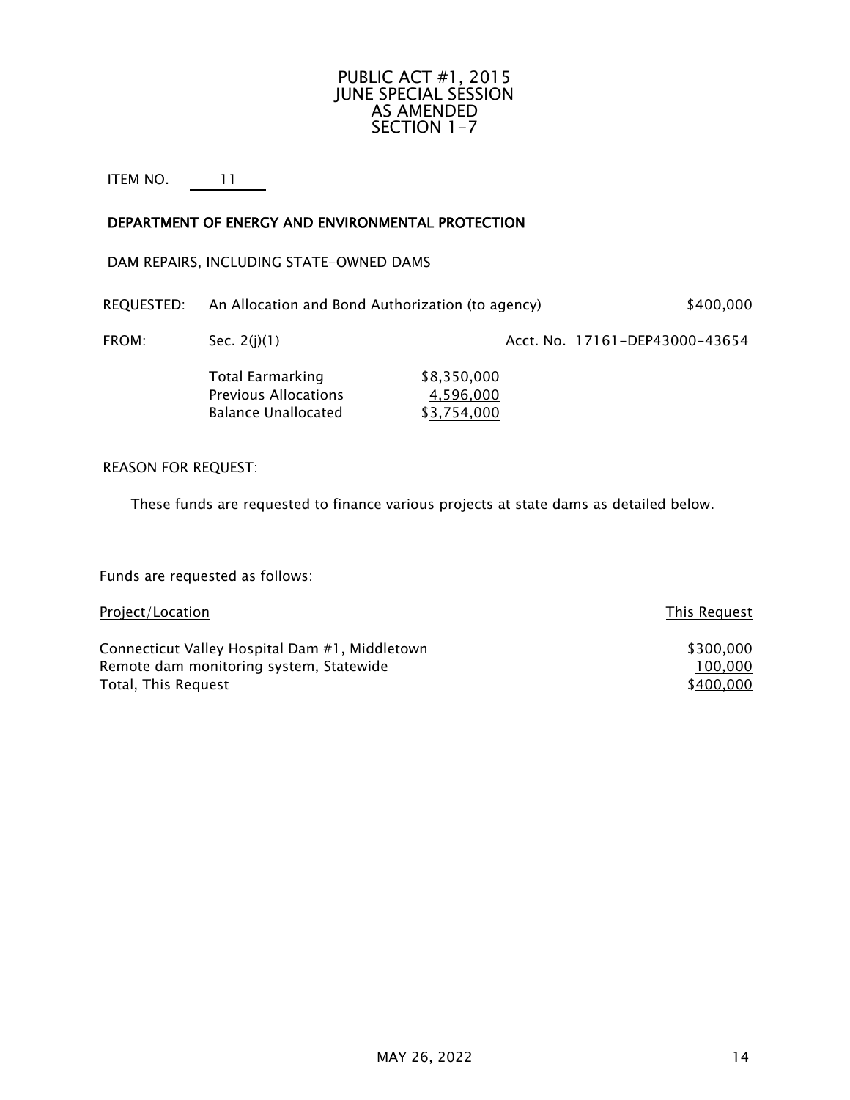# PUBLIC ACT #1, 2015 JUNE SPECIAL SESSION AS AMENDED SECTION 1-7

# ITEM NO. 11

# DEPARTMENT OF ENERGY AND ENVIRONMENTAL PROTECTION

## DAM REPAIRS, INCLUDING STATE-OWNED DAMS

| REQUESTED: | An Allocation and Bond Authorization (to agency) | \$400,000 |
|------------|--------------------------------------------------|-----------|
|            |                                                  |           |

FROM: Sec. 2(j)(1) Sec. 2(j)(1) Sec. 2(j)(1) Acct. No. 17161-DEP43000-43654

| Total Earmarking     | \$8,350,000 |
|----------------------|-------------|
| Previous Allocations | 4,596,000   |
| Balance Unallocated  | \$3,754,000 |

# REASON FOR REQUEST:

These funds are requested to finance various projects at state dams as detailed below.

Funds are requested as follows:

| Project/Location                               | This Request |
|------------------------------------------------|--------------|
| Connecticut Valley Hospital Dam #1, Middletown | \$300,000    |
| Remote dam monitoring system, Statewide        | 100,000      |
| Total, This Request                            | \$400,000    |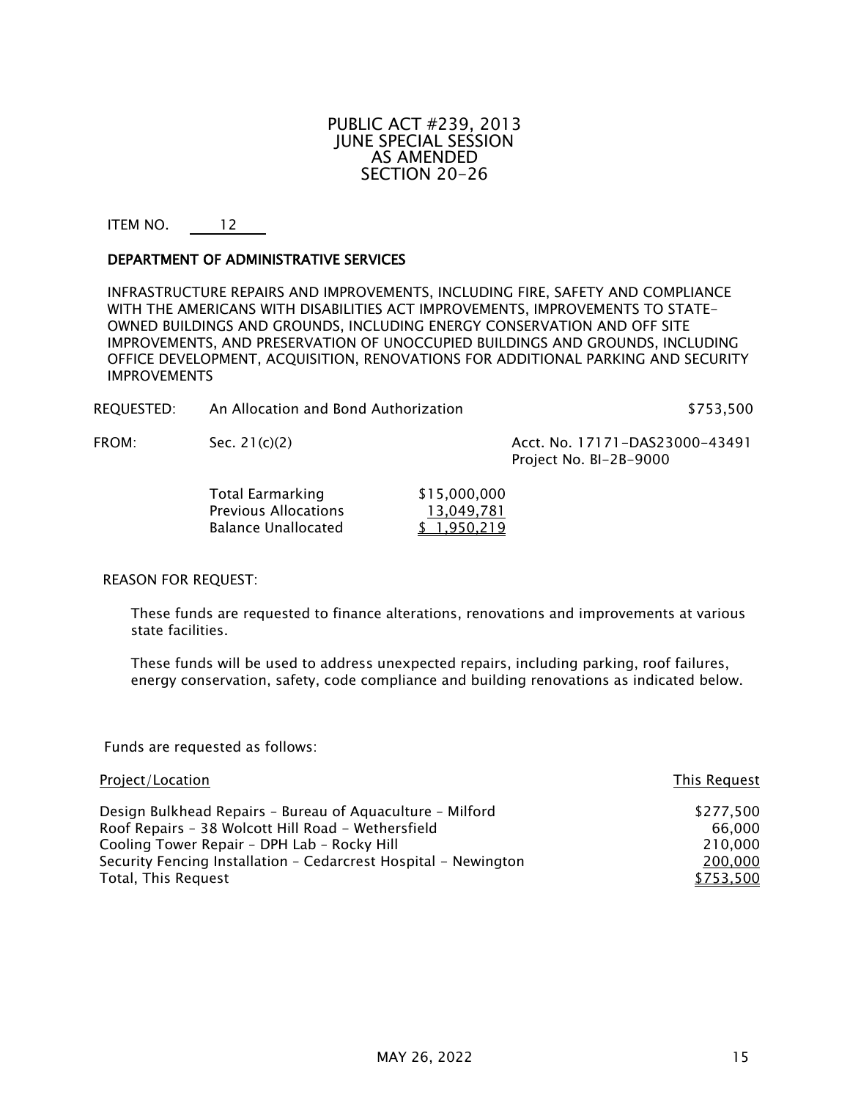## PUBLIC ACT #239, 2013 JUNE SPECIAL SESSION AS AMENDED SECTION 20-26

## ITEM NO. 12

#### DEPARTMENT OF ADMINISTRATIVE SERVICES

INFRASTRUCTURE REPAIRS AND IMPROVEMENTS, INCLUDING FIRE, SAFETY AND COMPLIANCE WITH THE AMERICANS WITH DISABILITIES ACT IMPROVEMENTS, IMPROVEMENTS TO STATE-OWNED BUILDINGS AND GROUNDS, INCLUDING ENERGY CONSERVATION AND OFF SITE IMPROVEMENTS, AND PRESERVATION OF UNOCCUPIED BUILDINGS AND GROUNDS, INCLUDING OFFICE DEVELOPMENT, ACQUISITION, RENOVATIONS FOR ADDITIONAL PARKING AND SECURITY **IMPROVEMENTS** 

| REOUESTED: | An Allocation and Bond Authorization | \$753,500                                                |
|------------|--------------------------------------|----------------------------------------------------------|
| FROM:      | Sec. $21(c)(2)$                      | Acct. No. 17171-DAS23000-43491<br>Project No. BI-2B-9000 |

| Total Earmarking            | \$15,000,000 |
|-----------------------------|--------------|
| <b>Previous Allocations</b> | 13,049,781   |
| <b>Balance Unallocated</b>  | \$1,950,219  |

#### REASON FOR REQUEST:

These funds are requested to finance alterations, renovations and improvements at various state facilities.

These funds will be used to address unexpected repairs, including parking, roof failures, energy conservation, safety, code compliance and building renovations as indicated below.

Funds are requested as follows:

| Project/Location                                                | This Request |
|-----------------------------------------------------------------|--------------|
| Design Bulkhead Repairs - Bureau of Aquaculture - Milford       | \$277,500    |
| Roof Repairs - 38 Wolcott Hill Road - Wethersfield              | 66.000       |
| Cooling Tower Repair - DPH Lab - Rocky Hill                     | 210,000      |
| Security Fencing Installation - Cedarcrest Hospital - Newington | 200,000      |
| Total, This Request                                             | \$753.500    |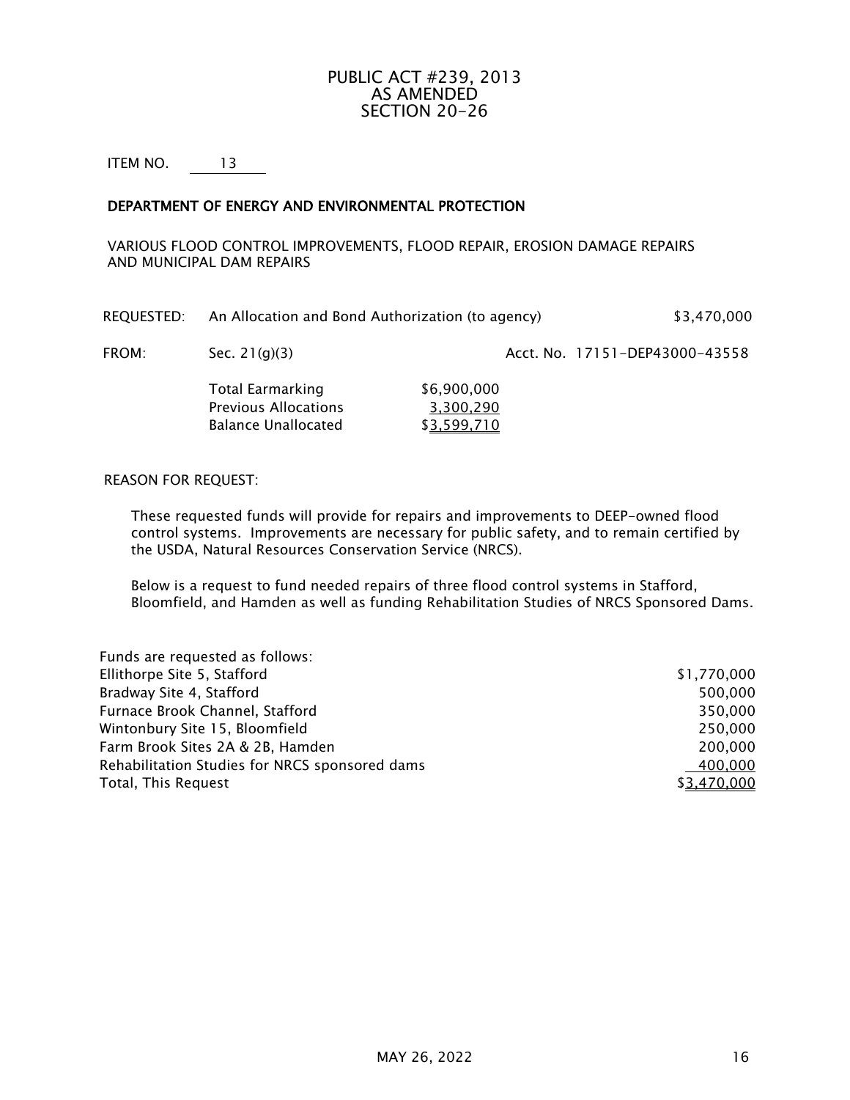# PUBLIC ACT #239, 2013 AS AMENDED SECTION 20-26

ITEM NO. 13

## DEPARTMENT OF ENERGY AND ENVIRONMENTAL PROTECTION

VARIOUS FLOOD CONTROL IMPROVEMENTS, FLOOD REPAIR, EROSION DAMAGE REPAIRS AND MUNICIPAL DAM REPAIRS

| REQUESTED: | An Allocation and Bond Authorization (to agency) | \$3,470,000 |
|------------|--------------------------------------------------|-------------|
|            |                                                  |             |

FROM: Sec. 21(g)(3) Sec. 21(g)(3) Acct. No. 17151-DEP43000-43558

Total Earmarking \$6,900,000 Previous Allocations 3,300,290 Balance Unallocated \$3,599,710

#### REASON FOR REQUEST:

These requested funds will provide for repairs and improvements to DEEP-owned flood control systems. Improvements are necessary for public safety, and to remain certified by the USDA, Natural Resources Conservation Service (NRCS).

Below is a request to fund needed repairs of three flood control systems in Stafford, Bloomfield, and Hamden as well as funding Rehabilitation Studies of NRCS Sponsored Dams.

| Funds are requested as follows:                |             |
|------------------------------------------------|-------------|
| Ellithorpe Site 5, Stafford                    | \$1,770,000 |
| Bradway Site 4, Stafford                       | 500.000     |
| Furnace Brook Channel, Stafford                | 350,000     |
| Wintonbury Site 15, Bloomfield                 | 250,000     |
| Farm Brook Sites 2A & 2B, Hamden               | 200,000     |
| Rehabilitation Studies for NRCS sponsored dams | 400.000     |
| Total, This Request                            | \$3,470,000 |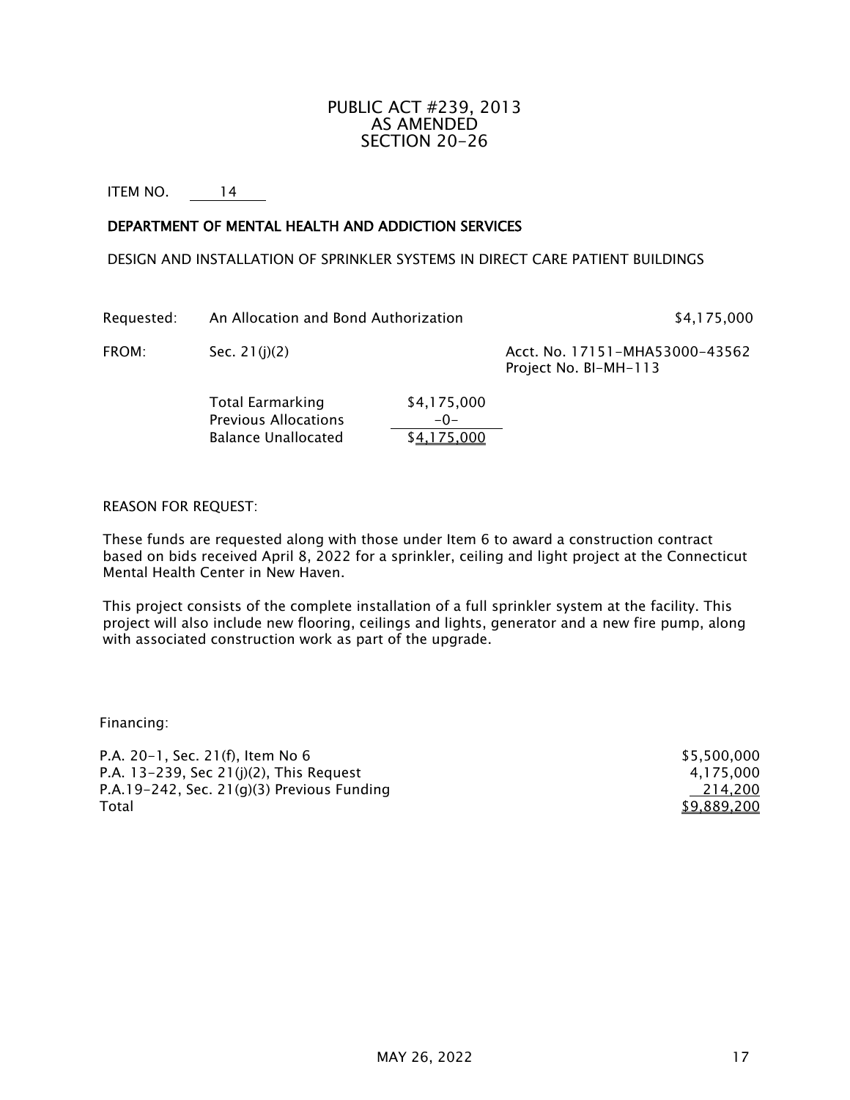# PUBLIC ACT #239, 2013 AS AMENDED SECTION 20-26

ITEM NO. 14

#### DEPARTMENT OF MENTAL HEALTH AND ADDICTION SERVICES

DESIGN AND INSTALLATION OF SPRINKLER SYSTEMS IN DIRECT CARE PATIENT BUILDINGS

Requested: An Allocation and Bond Authorization **\$4,175,000** 

FROM: Sec. 21(j)(2) Sec. 21(j)(2) Acct. No. 17151-MHA53000-43562 Project No. BI-MH-113

> Total Earmarking \$4,175,000 Previous Allocations  $\frac{-0-}{1}$ <br>Balance Unallocated 54,175.000 Balance Unallocated

REASON FOR REQUEST:

These funds are requested along with those under Item 6 to award a construction contract based on bids received April 8, 2022 for a sprinkler, ceiling and light project at the Connecticut Mental Health Center in New Haven.

This project consists of the complete installation of a full sprinkler system at the facility. This project will also include new flooring, ceilings and lights, generator and a new fire pump, along with associated construction work as part of the upgrade.

Financing:

| P.A. 20-1, Sec. 21(f), Item No 6           | \$5,500,000 |
|--------------------------------------------|-------------|
| P.A. 13-239, Sec 21(j)(2), This Request    | 4.175.000   |
| P.A.19-242, Sec. 21(g)(3) Previous Funding | 214.200     |
| Total                                      | \$9,889,200 |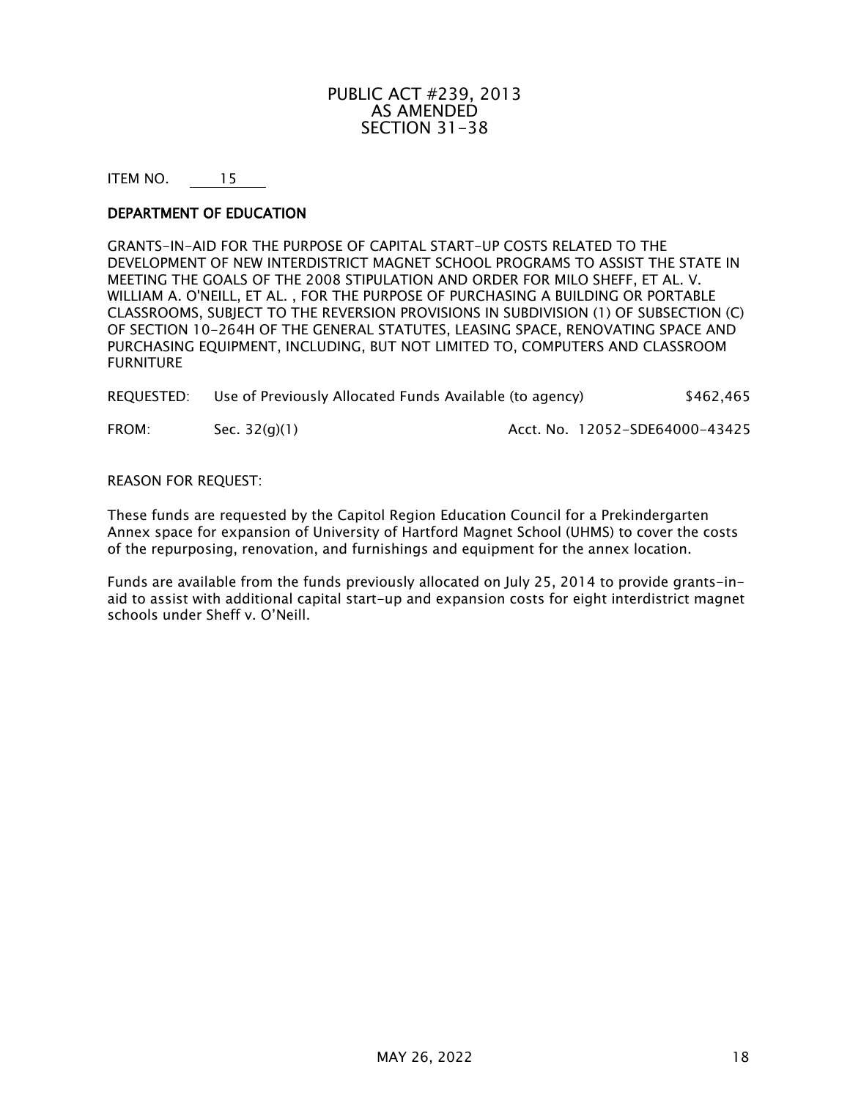# PUBLIC ACT #239, 2013 AS AMENDED SECTION 31-38

ITEM NO. 15

#### DEPARTMENT OF EDUCATION

GRANTS-IN-AID FOR THE PURPOSE OF CAPITAL START-UP COSTS RELATED TO THE DEVELOPMENT OF NEW INTERDISTRICT MAGNET SCHOOL PROGRAMS TO ASSIST THE STATE IN MEETING THE GOALS OF THE 2008 STIPULATION AND ORDER FOR MILO SHEFF, ET AL. V. WILLIAM A. O'NEILL, ET AL. , FOR THE PURPOSE OF PURCHASING A BUILDING OR PORTABLE CLASSROOMS, SUBJECT TO THE REVERSION PROVISIONS IN SUBDIVISION (1) OF SUBSECTION (C) OF SECTION 10-264H OF THE GENERAL STATUTES, LEASING SPACE, RENOVATING SPACE AND PURCHASING EQUIPMENT, INCLUDING, BUT NOT LIMITED TO, COMPUTERS AND CLASSROOM FURNITURE

| REQUESTED: | Use of Previously Allocated Funds Available (to agency) | \$462,465 |
|------------|---------------------------------------------------------|-----------|
|            |                                                         |           |

FROM: Sec. 32(g)(1) Acct. No. 12052-SDE64000-43425

#### REASON FOR REQUEST:

These funds are requested by the Capitol Region Education Council for a Prekindergarten Annex space for expansion of University of Hartford Magnet School (UHMS) to cover the costs of the repurposing, renovation, and furnishings and equipment for the annex location.

Funds are available from the funds previously allocated on July 25, 2014 to provide grants-inaid to assist with additional capital start-up and expansion costs for eight interdistrict magnet schools under Sheff v. O'Neill.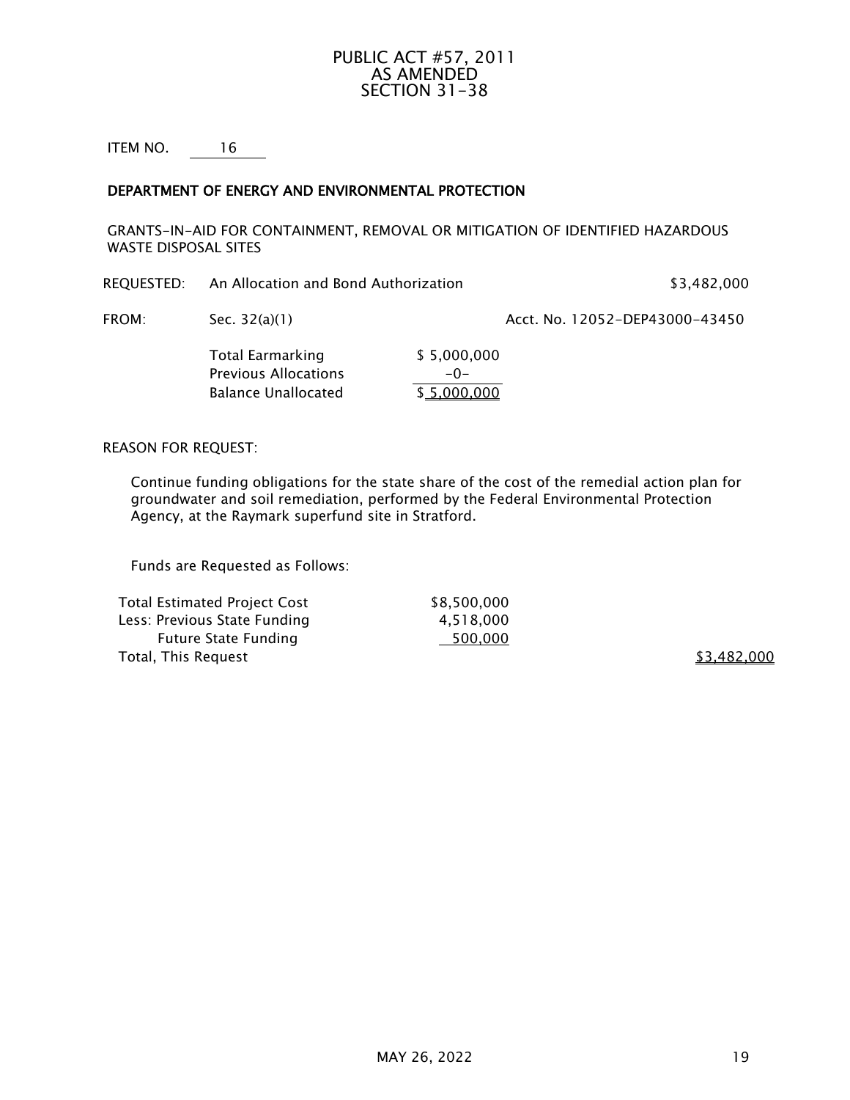# PUBLIC ACT #57, 2011 AS AMENDED SECTION 31-38

ITEM NO. 16

## DEPARTMENT OF ENERGY AND ENVIRONMENTAL PROTECTION

GRANTS-IN-AID FOR CONTAINMENT, REMOVAL OR MITIGATION OF IDENTIFIED HAZARDOUS WASTE DISPOSAL SITES

REQUESTED: An Allocation and Bond Authorization **\$3,482,000** \$3,482,000

FROM: Sec. 32(a)(1) Acct. No. 12052-DEP43000-43450

Total Earmarking \$5,000,000 Previous Allocations -0-Balance Unallocated \$5,000,000

#### REASON FOR REQUEST:

Continue funding obligations for the state share of the cost of the remedial action plan for groundwater and soil remediation, performed by the Federal Environmental Protection Agency, at the Raymark superfund site in Stratford.

Funds are Requested as Follows:

Total Estimated Project Cost \$8,500,000 Less: Previous State Funding 1994 1.518,000 Future State Funding 500,000 Total, This Request  $$3,482,000$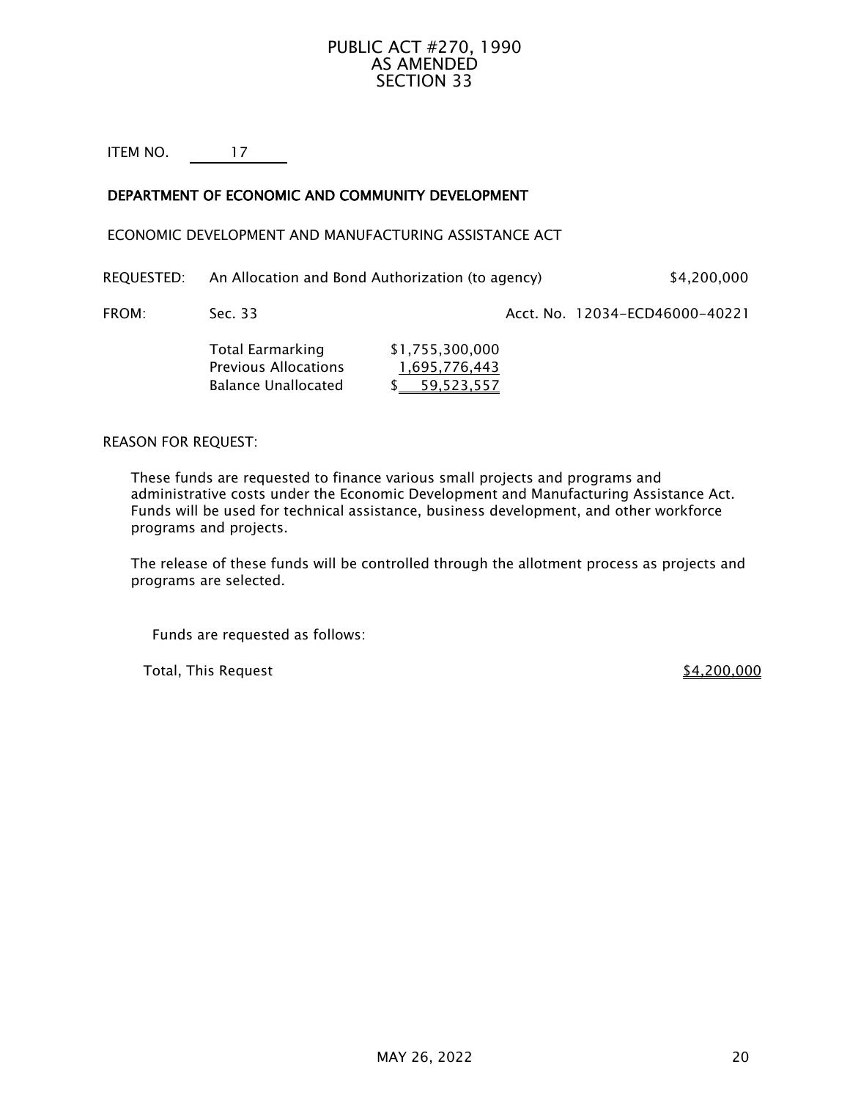# PUBLIC ACT #270, 1990 AS AMENDED SECTION 33

ITEM NO. 17

# DEPARTMENT OF ECONOMIC AND COMMUNITY DEVELOPMENT

ECONOMIC DEVELOPMENT AND MANUFACTURING ASSISTANCE ACT

| REQUESTED: | An Allocation and Bond Authorization (to agency) | \$4,200,000 |
|------------|--------------------------------------------------|-------------|
|------------|--------------------------------------------------|-------------|

FROM: Sec. 33 Sec. 33 Acct. No. 12034-ECD46000-40221

| Total Earmarking            | \$1,755,300,000 |
|-----------------------------|-----------------|
| <b>Previous Allocations</b> | 1,695,776,443   |
| <b>Balance Unallocated</b>  | \$ 59,523,557   |

## REASON FOR REQUEST:

These funds are requested to finance various small projects and programs and administrative costs under the Economic Development and Manufacturing Assistance Act. Funds will be used for technical assistance, business development, and other workforce programs and projects.

The release of these funds will be controlled through the allotment process as projects and programs are selected.

Funds are requested as follows:

Total, This Request  $$4,200,000$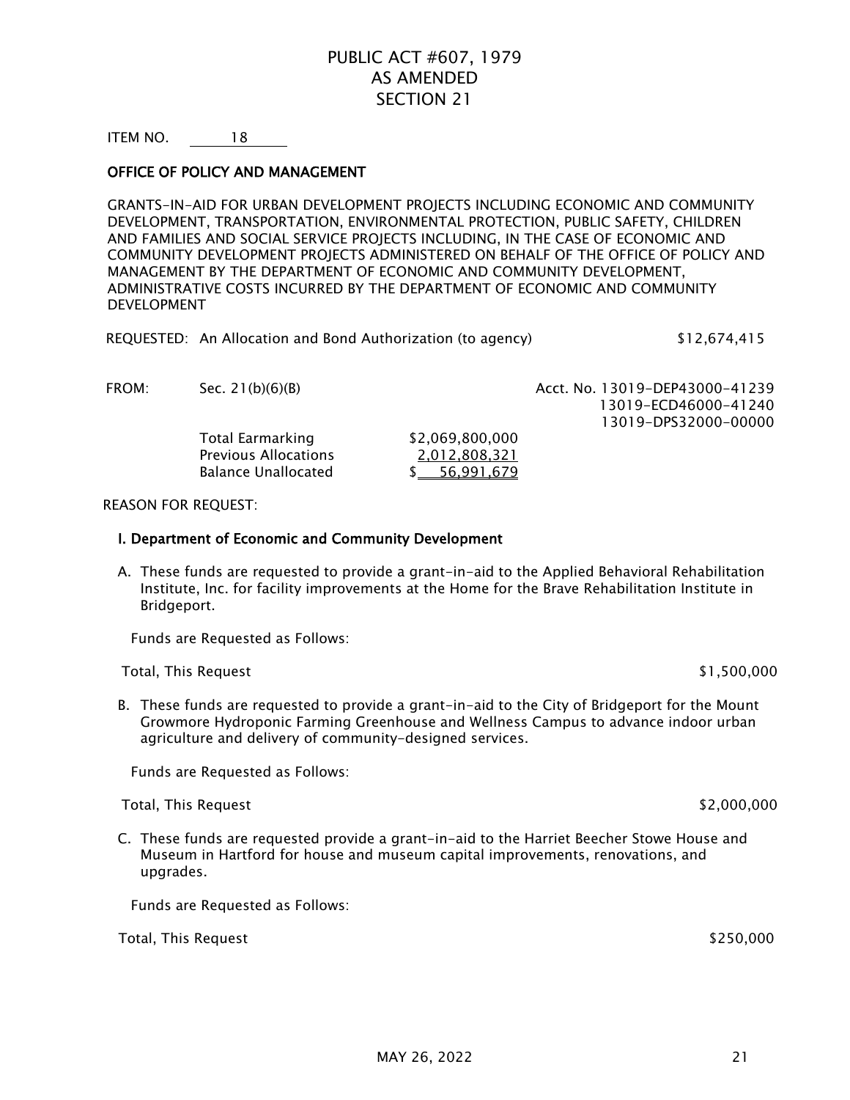# PUBLIC ACT #607, 1979 AS AMENDED SECTION 21

ITEM NO. 18

## OFFICE OF POLICY AND MANAGEMENT

GRANTS-IN-AID FOR URBAN DEVELOPMENT PROJECTS INCLUDING ECONOMIC AND COMMUNITY DEVELOPMENT, TRANSPORTATION, ENVIRONMENTAL PROTECTION, PUBLIC SAFETY, CHILDREN AND FAMILIES AND SOCIAL SERVICE PROJECTS INCLUDING, IN THE CASE OF ECONOMIC AND COMMUNITY DEVELOPMENT PROJECTS ADMINISTERED ON BEHALF OF THE OFFICE OF POLICY AND MANAGEMENT BY THE DEPARTMENT OF ECONOMIC AND COMMUNITY DEVELOPMENT, ADMINISTRATIVE COSTS INCURRED BY THE DEPARTMENT OF ECONOMIC AND COMMUNITY DEVELOPMENT

| REQUESTED: An Allocation and Bond Authorization (to agency) | \$12,674,415 |
|-------------------------------------------------------------|--------------|
|-------------------------------------------------------------|--------------|

| FROM: | Sec. $21(b)(6)(B)$          |                 | Acct. No. 13019-DEP43000-41239 |
|-------|-----------------------------|-----------------|--------------------------------|
|       |                             |                 | 13019-ECD46000-41240           |
|       |                             |                 | 13019-DPS32000-00000           |
|       | Total Earmarking            | \$2,069,800,000 |                                |
|       | <b>Previous Allocations</b> | 2,012,808,321   |                                |
|       | <b>Balance Unallocated</b>  | 56.991.679      |                                |
|       |                             |                 |                                |

#### REASON FOR REQUEST:

#### I. Department of Economic and Community Development

A. These funds are requested to provide a grant-in-aid to the Applied Behavioral Rehabilitation Institute, Inc. for facility improvements at the Home for the Brave Rehabilitation Institute in Bridgeport.

Funds are Requested as Follows:

Total, This Request  $$1,500,000$ 

B. These funds are requested to provide a grant-in-aid to the City of Bridgeport for the Mount Growmore Hydroponic Farming Greenhouse and Wellness Campus to advance indoor urban agriculture and delivery of community-designed services.

Funds are Requested as Follows:

Total, This Request \$2,000,000

C. These funds are requested provide a grant-in-aid to the Harriet Beecher Stowe House and Museum in Hartford for house and museum capital improvements, renovations, and upgrades.

Funds are Requested as Follows:

Total, This Request \$250,000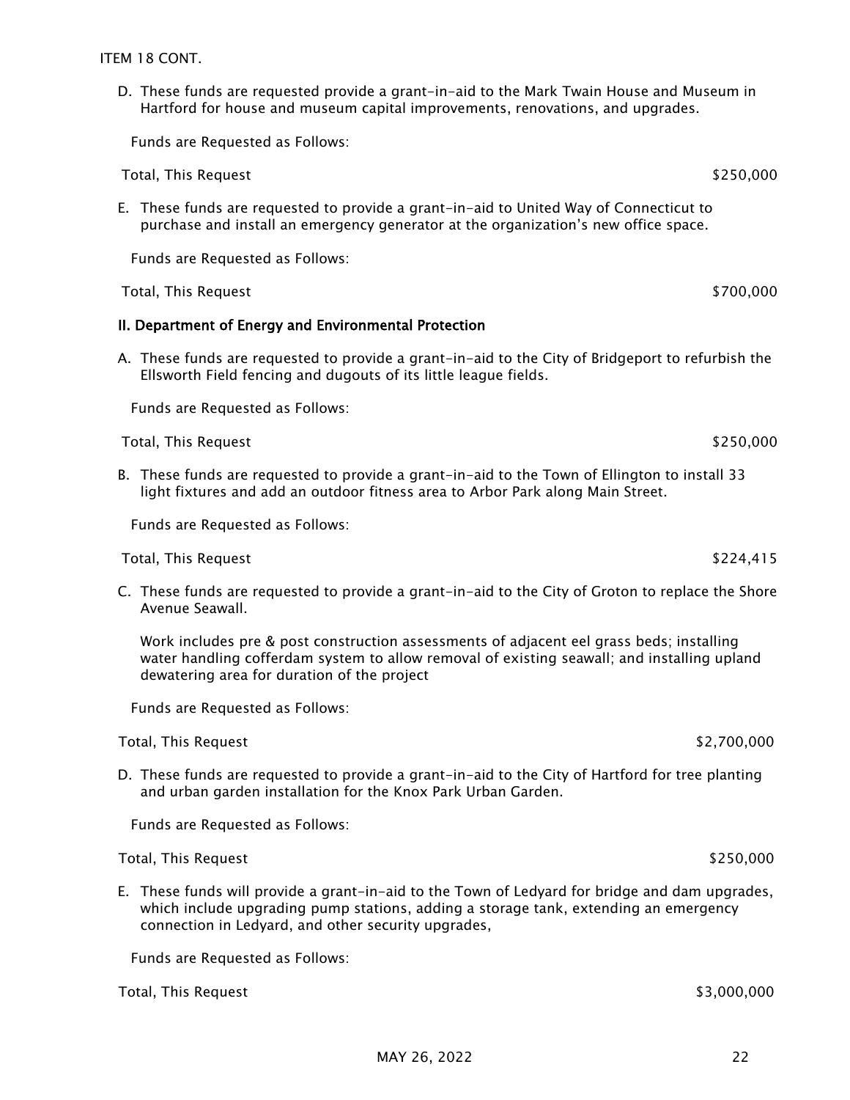D. These funds are requested provide a grant-in-aid to the Mark Twain House and Museum in Hartford for house and museum capital improvements, renovations, and upgrades.

Funds are Requested as Follows:

Total, This Request \$250,000

E. These funds are requested to provide a grant-in-aid to United Way of Connecticut to purchase and install an emergency generator at the organization's new office space.

Funds are Requested as Follows:

Total, This Request \$700,000

#### II. Department of Energy and Environmental Protection

A. These funds are requested to provide a grant-in-aid to the City of Bridgeport to refurbish the Ellsworth Field fencing and dugouts of its little league fields.

Funds are Requested as Follows:

Total, This Request  $$250,000$ 

B. These funds are requested to provide a grant-in-aid to the Town of Ellington to install 33 light fixtures and add an outdoor fitness area to Arbor Park along Main Street.

Funds are Requested as Follows:

Total, This Request  $$224,415$ 

C. These funds are requested to provide a grant-in-aid to the City of Groton to replace the Shore Avenue Seawall.

Work includes pre & post construction assessments of adjacent eel grass beds; installing water handling cofferdam system to allow removal of existing seawall; and installing upland dewatering area for duration of the project

Funds are Requested as Follows:

Total, This Request \$2,700,000

D. These funds are requested to provide a grant-in-aid to the City of Hartford for tree planting and urban garden installation for the Knox Park Urban Garden.

Funds are Requested as Follows:

Total, This Request \$250,000

E. These funds will provide a grant-in-aid to the Town of Ledyard for bridge and dam upgrades, which include upgrading pump stations, adding a storage tank, extending an emergency connection in Ledyard, and other security upgrades,

Funds are Requested as Follows:

Total, This Request \$3,000,000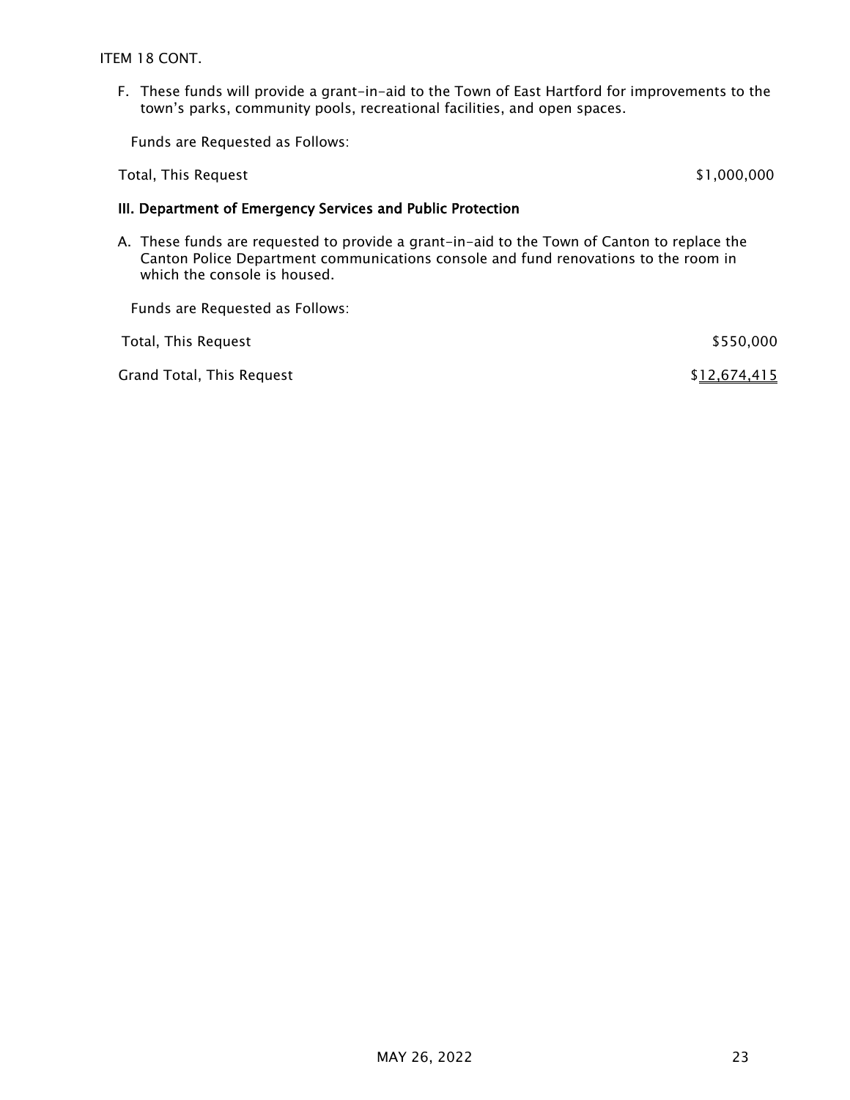ITEM 18 CONT.

F. These funds will provide a grant-in-aid to the Town of East Hartford for improvements to the town's parks, community pools, recreational facilities, and open spaces.

Funds are Requested as Follows:

Total, This Request  $$1,000,000$ 

# III. Department of Emergency Services and Public Protection

A. These funds are requested to provide a grant-in-aid to the Town of Canton to replace the Canton Police Department communications console and fund renovations to the room in which the console is housed.

Funds are Requested as Follows:

| Total, This Request       | \$550,000    |
|---------------------------|--------------|
| Grand Total, This Request | \$12,674,415 |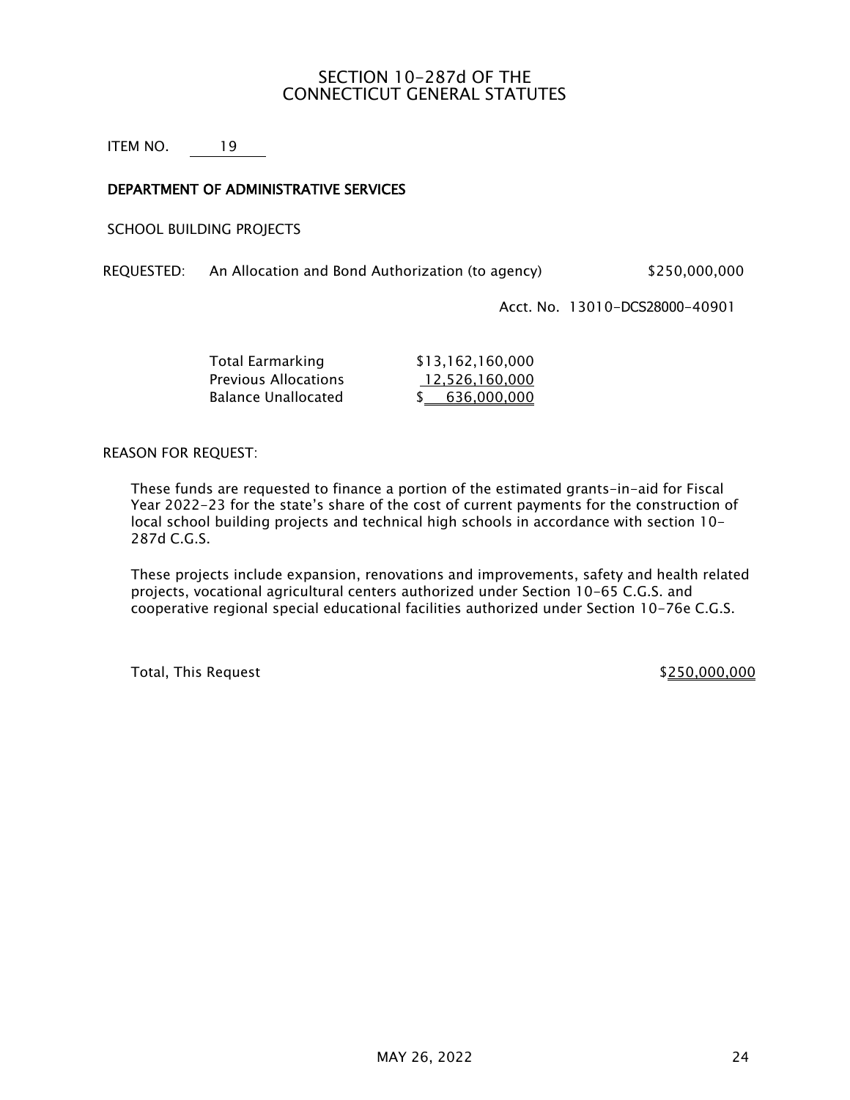# SECTION 10-287d OF THE CONNECTICUT GENERAL STATUTES

ITEM NO. 19

# DEPARTMENT OF ADMINISTRATIVE SERVICES

SCHOOL BUILDING PROJECTS

REQUESTED: An Allocation and Bond Authorization (to agency) \$250,000,000

Acct. No. 13010-DCS28000-40901

| Total Earmarking            | \$13,162,160,000 |
|-----------------------------|------------------|
| <b>Previous Allocations</b> | 12,526,160,000   |
| Balance Unallocated         | \$636,000,000    |

REASON FOR REQUEST:

These funds are requested to finance a portion of the estimated grants-in-aid for Fiscal Year 2022-23 for the state's share of the cost of current payments for the construction of local school building projects and technical high schools in accordance with section 10- 287d C.G.S.

These projects include expansion, renovations and improvements, safety and health related projects, vocational agricultural centers authorized under Section 10-65 C.G.S. and cooperative regional special educational facilities authorized under Section 10-76e C.G.S.

Total, This Request  $$250,000,000$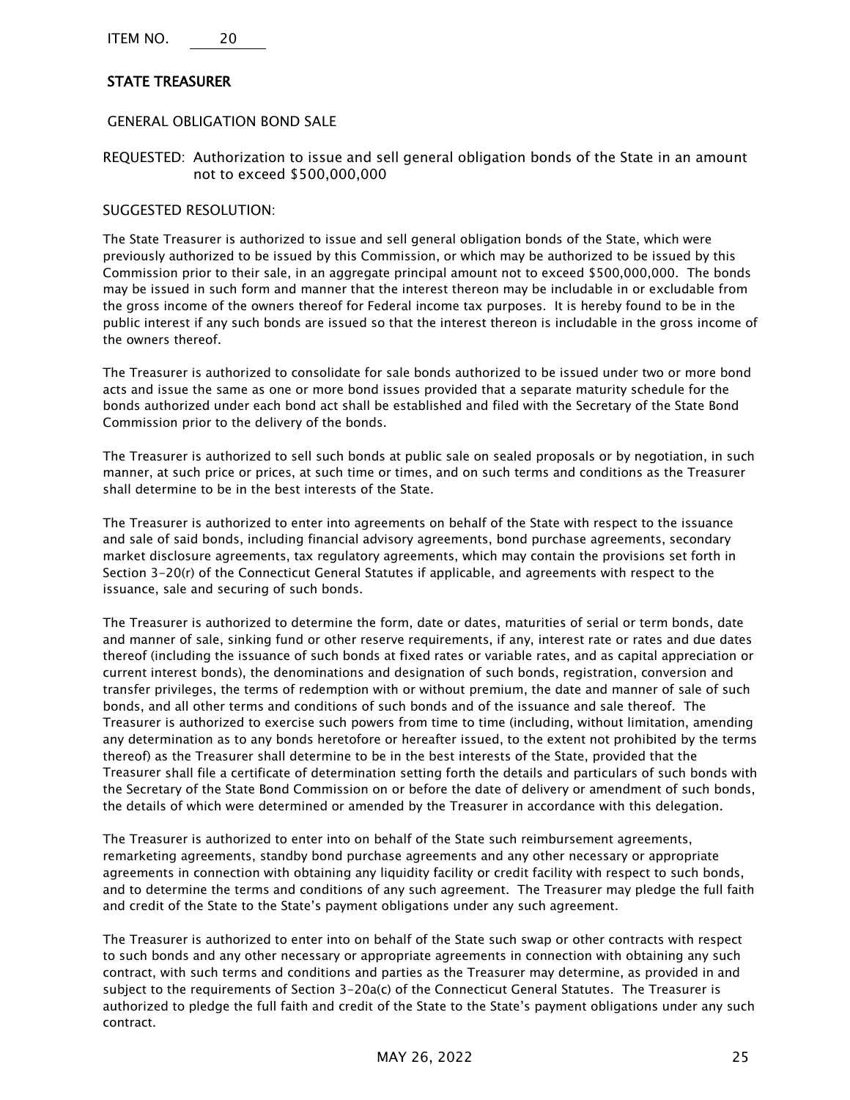ITEM NO. 20

# STATE TREASURER

#### GENERAL OBLIGATION BOND SALE

REQUESTED: Authorization to issue and sell general obligation bonds of the State in an amount not to exceed \$500,000,000

#### SUGGESTED RESOLUTION:

The State Treasurer is authorized to issue and sell general obligation bonds of the State, which were previously authorized to be issued by this Commission, or which may be authorized to be issued by this Commission prior to their sale, in an aggregate principal amount not to exceed \$500,000,000. The bonds may be issued in such form and manner that the interest thereon may be includable in or excludable from the gross income of the owners thereof for Federal income tax purposes. It is hereby found to be in the public interest if any such bonds are issued so that the interest thereon is includable in the gross income of the owners thereof.

The Treasurer is authorized to consolidate for sale bonds authorized to be issued under two or more bond acts and issue the same as one or more bond issues provided that a separate maturity schedule for the bonds authorized under each bond act shall be established and filed with the Secretary of the State Bond Commission prior to the delivery of the bonds.

The Treasurer is authorized to sell such bonds at public sale on sealed proposals or by negotiation, in such manner, at such price or prices, at such time or times, and on such terms and conditions as the Treasurer shall determine to be in the best interests of the State.

The Treasurer is authorized to enter into agreements on behalf of the State with respect to the issuance and sale of said bonds, including financial advisory agreements, bond purchase agreements, secondary market disclosure agreements, tax regulatory agreements, which may contain the provisions set forth in Section 3-20(r) of the Connecticut General Statutes if applicable, and agreements with respect to the issuance, sale and securing of such bonds.

The Treasurer is authorized to determine the form, date or dates, maturities of serial or term bonds, date and manner of sale, sinking fund or other reserve requirements, if any, interest rate or rates and due dates thereof (including the issuance of such bonds at fixed rates or variable rates, and as capital appreciation or current interest bonds), the denominations and designation of such bonds, registration, conversion and transfer privileges, the terms of redemption with or without premium, the date and manner of sale of such bonds, and all other terms and conditions of such bonds and of the issuance and sale thereof. The Treasurer is authorized to exercise such powers from time to time (including, without limitation, amending any determination as to any bonds heretofore or hereafter issued, to the extent not prohibited by the terms thereof) as the Treasurer shall determine to be in the best interests of the State, provided that the Treasurer shall file a certificate of determination setting forth the details and particulars of such bonds with the Secretary of the State Bond Commission on or before the date of delivery or amendment of such bonds, the details of which were determined or amended by the Treasurer in accordance with this delegation.

The Treasurer is authorized to enter into on behalf of the State such reimbursement agreements, remarketing agreements, standby bond purchase agreements and any other necessary or appropriate agreements in connection with obtaining any liquidity facility or credit facility with respect to such bonds, and to determine the terms and conditions of any such agreement. The Treasurer may pledge the full faith and credit of the State to the State's payment obligations under any such agreement.

The Treasurer is authorized to enter into on behalf of the State such swap or other contracts with respect to such bonds and any other necessary or appropriate agreements in connection with obtaining any such contract, with such terms and conditions and parties as the Treasurer may determine, as provided in and subject to the requirements of Section 3-20a(c) of the Connecticut General Statutes. The Treasurer is authorized to pledge the full faith and credit of the State to the State's payment obligations under any such contract.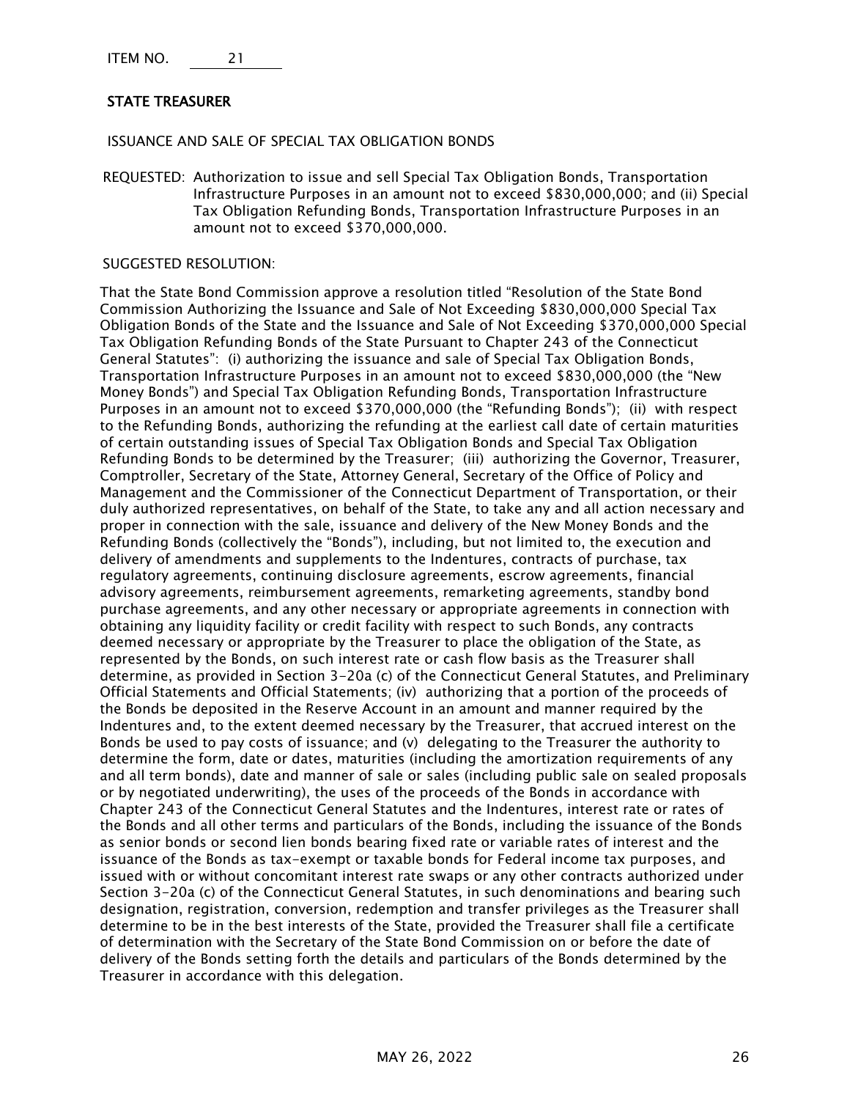ITEM NO. 21

## STATE TREASURER

ISSUANCE AND SALE OF SPECIAL TAX OBLIGATION BONDS

REQUESTED: Authorization to issue and sell Special Tax Obligation Bonds, Transportation Infrastructure Purposes in an amount not to exceed \$830,000,000; and (ii) Special Tax Obligation Refunding Bonds, Transportation Infrastructure Purposes in an amount not to exceed \$370,000,000.

#### SUGGESTED RESOLUTION:

That the State Bond Commission approve a resolution titled "Resolution of the State Bond Commission Authorizing the Issuance and Sale of Not Exceeding \$830,000,000 Special Tax Obligation Bonds of the State and the Issuance and Sale of Not Exceeding \$370,000,000 Special Tax Obligation Refunding Bonds of the State Pursuant to Chapter 243 of the Connecticut General Statutes": (i) authorizing the issuance and sale of Special Tax Obligation Bonds, Transportation Infrastructure Purposes in an amount not to exceed \$830,000,000 (the "New Money Bonds") and Special Tax Obligation Refunding Bonds, Transportation Infrastructure Purposes in an amount not to exceed \$370,000,000 (the "Refunding Bonds"); (ii) with respect to the Refunding Bonds, authorizing the refunding at the earliest call date of certain maturities of certain outstanding issues of Special Tax Obligation Bonds and Special Tax Obligation Refunding Bonds to be determined by the Treasurer; (iii) authorizing the Governor, Treasurer, Comptroller, Secretary of the State, Attorney General, Secretary of the Office of Policy and Management and the Commissioner of the Connecticut Department of Transportation, or their duly authorized representatives, on behalf of the State, to take any and all action necessary and proper in connection with the sale, issuance and delivery of the New Money Bonds and the Refunding Bonds (collectively the "Bonds"), including, but not limited to, the execution and delivery of amendments and supplements to the Indentures, contracts of purchase, tax regulatory agreements, continuing disclosure agreements, escrow agreements, financial advisory agreements, reimbursement agreements, remarketing agreements, standby bond purchase agreements, and any other necessary or appropriate agreements in connection with obtaining any liquidity facility or credit facility with respect to such Bonds, any contracts deemed necessary or appropriate by the Treasurer to place the obligation of the State, as represented by the Bonds, on such interest rate or cash flow basis as the Treasurer shall determine, as provided in Section 3-20a (c) of the Connecticut General Statutes, and Preliminary Official Statements and Official Statements; (iv) authorizing that a portion of the proceeds of the Bonds be deposited in the Reserve Account in an amount and manner required by the Indentures and, to the extent deemed necessary by the Treasurer, that accrued interest on the Bonds be used to pay costs of issuance; and (v) delegating to the Treasurer the authority to determine the form, date or dates, maturities (including the amortization requirements of any and all term bonds), date and manner of sale or sales (including public sale on sealed proposals or by negotiated underwriting), the uses of the proceeds of the Bonds in accordance with Chapter 243 of the Connecticut General Statutes and the Indentures, interest rate or rates of the Bonds and all other terms and particulars of the Bonds, including the issuance of the Bonds as senior bonds or second lien bonds bearing fixed rate or variable rates of interest and the issuance of the Bonds as tax-exempt or taxable bonds for Federal income tax purposes, and issued with or without concomitant interest rate swaps or any other contracts authorized under Section 3-20a (c) of the Connecticut General Statutes, in such denominations and bearing such designation, registration, conversion, redemption and transfer privileges as the Treasurer shall determine to be in the best interests of the State, provided the Treasurer shall file a certificate of determination with the Secretary of the State Bond Commission on or before the date of delivery of the Bonds setting forth the details and particulars of the Bonds determined by the Treasurer in accordance with this delegation.